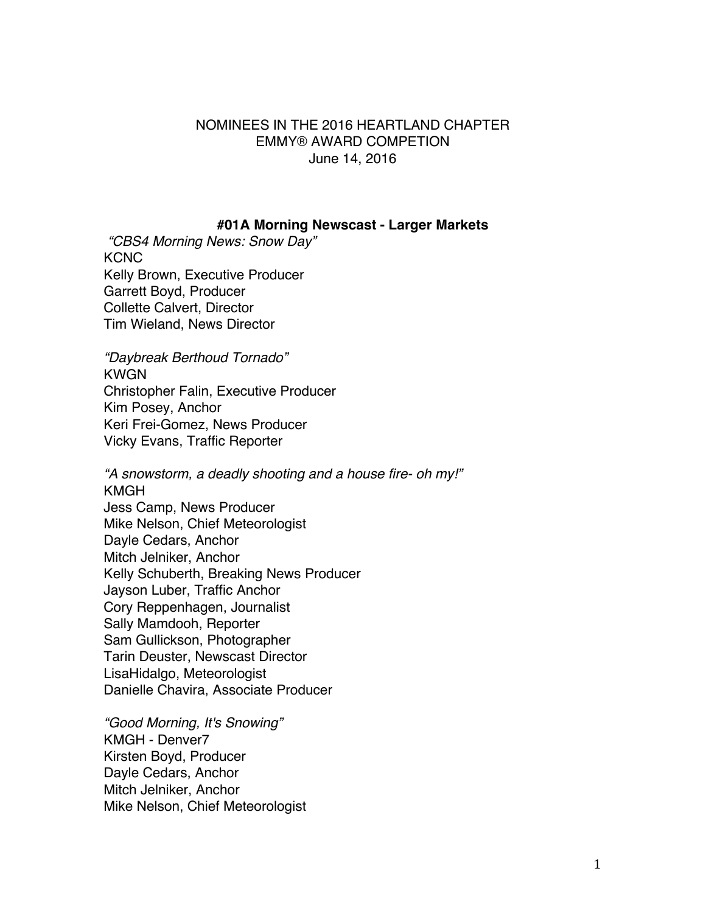# NOMINEES IN THE 2016 HEARTLAND CHAPTER EMMY® AWARD COMPETION June 14, 2016

#### **#01A Morning Newscast - Larger Markets**

*"CBS4 Morning News: Snow Day"* **KCNC** Kelly Brown, Executive Producer Garrett Boyd, Producer Collette Calvert, Director Tim Wieland, News Director

*"Daybreak Berthoud Tornado"* KWGN Christopher Falin, Executive Producer Kim Posey, Anchor Keri Frei-Gomez, News Producer Vicky Evans, Traffic Reporter

*"A snowstorm, a deadly shooting and a house fire- oh my!"* KMGH Jess Camp, News Producer Mike Nelson, Chief Meteorologist Dayle Cedars, Anchor Mitch Jelniker, Anchor Kelly Schuberth, Breaking News Producer Jayson Luber, Traffic Anchor Cory Reppenhagen, Journalist Sally Mamdooh, Reporter Sam Gullickson, Photographer Tarin Deuster, Newscast Director LisaHidalgo, Meteorologist Danielle Chavira, Associate Producer

*"Good Morning, It's Snowing"* KMGH - Denver7 Kirsten Boyd, Producer Dayle Cedars, Anchor Mitch Jelniker, Anchor Mike Nelson, Chief Meteorologist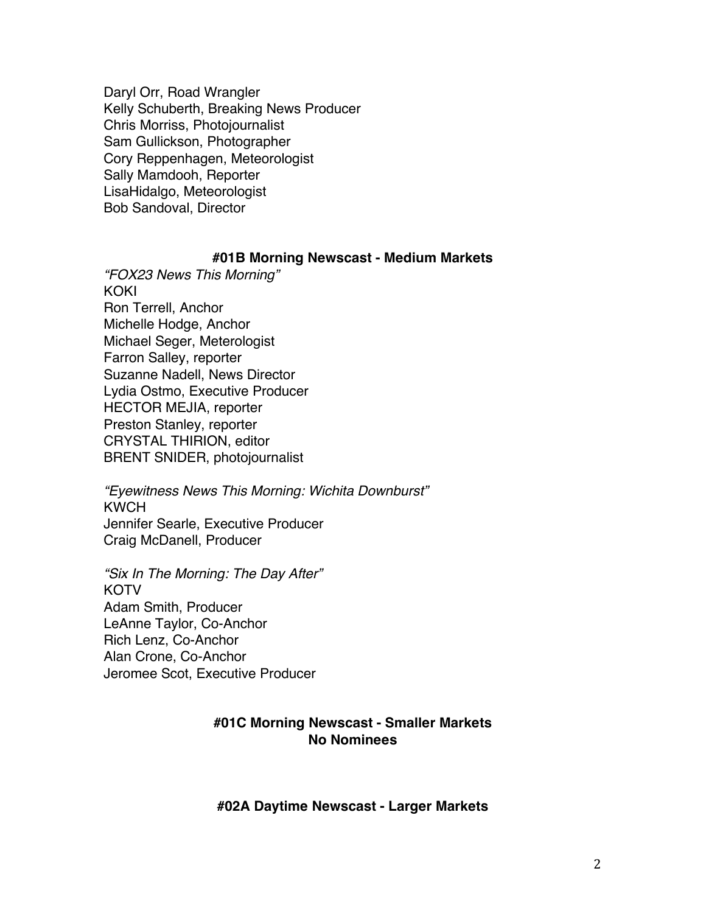Daryl Orr, Road Wrangler Kelly Schuberth, Breaking News Producer Chris Morriss, Photojournalist Sam Gullickson, Photographer Cory Reppenhagen, Meteorologist Sally Mamdooh, Reporter LisaHidalgo, Meteorologist Bob Sandoval, Director

#### **#01B Morning Newscast - Medium Markets**

*"FOX23 News This Morning"* KOKI Ron Terrell, Anchor Michelle Hodge, Anchor Michael Seger, Meterologist Farron Salley, reporter Suzanne Nadell, News Director Lydia Ostmo, Executive Producer HECTOR MEJIA, reporter Preston Stanley, reporter CRYSTAL THIRION, editor BRENT SNIDER, photojournalist

*"Eyewitness News This Morning: Wichita Downburst"* **KWCH** Jennifer Searle, Executive Producer Craig McDanell, Producer

*"Six In The Morning: The Day After"* **KOTV** Adam Smith, Producer LeAnne Taylor, Co-Anchor Rich Lenz, Co-Anchor Alan Crone, Co-Anchor Jeromee Scot, Executive Producer

# **#01C Morning Newscast - Smaller Markets No Nominees**

#### **#02A Daytime Newscast - Larger Markets**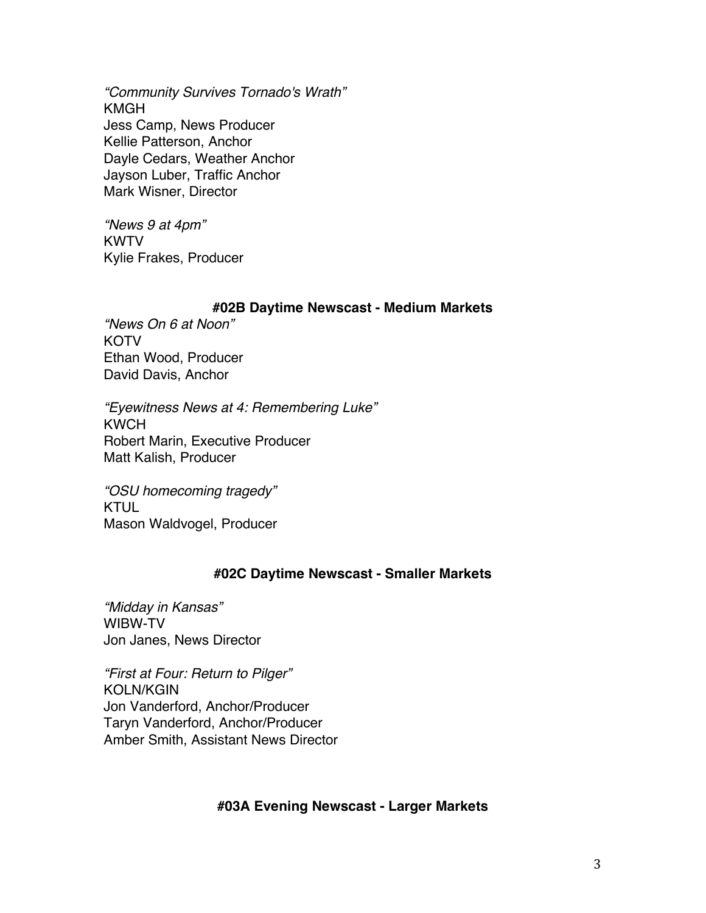*"Community Survives Tornado's Wrath"* KMGH Jess Camp, News Producer Kellie Patterson, Anchor Dayle Cedars, Weather Anchor Jayson Luber, Traffic Anchor Mark Wisner, Director

*"News 9 at 4pm"* KWTV Kylie Frakes, Producer

### **#02B Daytime Newscast - Medium Markets**

*"News On 6 at Noon"* KOTV Ethan Wood, Producer David Davis, Anchor

*"Eyewitness News at 4: Remembering Luke"* KWCH Robert Marin, Executive Producer Matt Kalish, Producer

*"OSU homecoming tragedy"* KTUL Mason Waldvogel, Producer

# **#02C Daytime Newscast - Smaller Markets**

*"Midday in Kansas"* WIBW-TV Jon Janes, News Director

*"First at Four: Return to Pilger"* KOLN/KGIN Jon Vanderford, Anchor/Producer Taryn Vanderford, Anchor/Producer Amber Smith, Assistant News Director

# **#03A Evening Newscast - Larger Markets**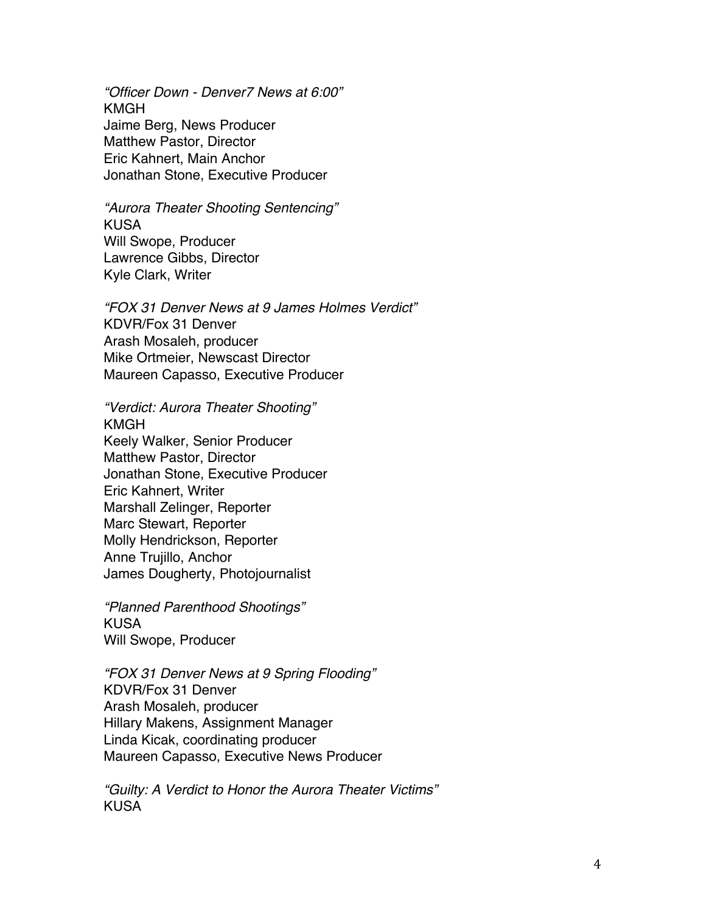*"Officer Down - Denver7 News at 6:00"* KMGH Jaime Berg, News Producer Matthew Pastor, Director Eric Kahnert, Main Anchor Jonathan Stone, Executive Producer

*"Aurora Theater Shooting Sentencing"* KUSA Will Swope, Producer Lawrence Gibbs, Director Kyle Clark, Writer

*"FOX 31 Denver News at 9 James Holmes Verdict"* KDVR/Fox 31 Denver Arash Mosaleh, producer Mike Ortmeier, Newscast Director Maureen Capasso, Executive Producer

*"Verdict: Aurora Theater Shooting"* KMGH Keely Walker, Senior Producer Matthew Pastor, Director Jonathan Stone, Executive Producer Eric Kahnert, Writer Marshall Zelinger, Reporter Marc Stewart, Reporter Molly Hendrickson, Reporter Anne Trujillo, Anchor James Dougherty, Photojournalist

*"Planned Parenthood Shootings"* KUSA Will Swope, Producer

*"FOX 31 Denver News at 9 Spring Flooding"* KDVR/Fox 31 Denver Arash Mosaleh, producer Hillary Makens, Assignment Manager Linda Kicak, coordinating producer Maureen Capasso, Executive News Producer

*"Guilty: A Verdict to Honor the Aurora Theater Victims"* KUSA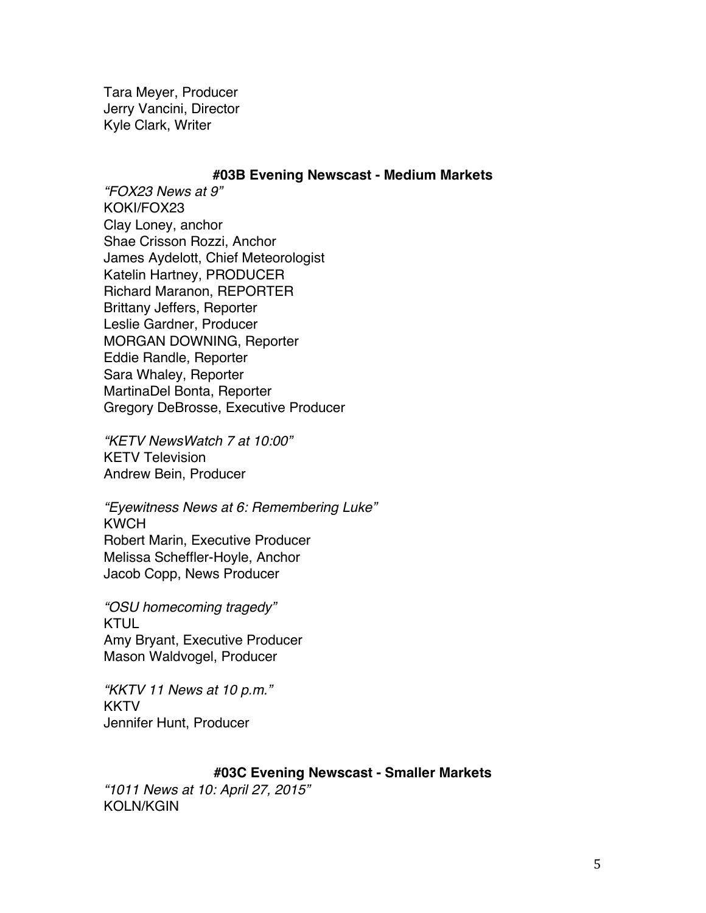Tara Meyer, Producer Jerry Vancini, Director Kyle Clark, Writer

### **#03B Evening Newscast - Medium Markets**

*"FOX23 News at 9"* KOKI/FOX23 Clay Loney, anchor Shae Crisson Rozzi, Anchor James Aydelott, Chief Meteorologist Katelin Hartney, PRODUCER Richard Maranon, REPORTER Brittany Jeffers, Reporter Leslie Gardner, Producer MORGAN DOWNING, Reporter Eddie Randle, Reporter Sara Whaley, Reporter MartinaDel Bonta, Reporter Gregory DeBrosse, Executive Producer

*"KETV NewsWatch 7 at 10:00"* KETV Television Andrew Bein, Producer

*"Eyewitness News at 6: Remembering Luke"* KWCH Robert Marin, Executive Producer Melissa Scheffler-Hoyle, Anchor Jacob Copp, News Producer

*"OSU homecoming tragedy"* KTUL Amy Bryant, Executive Producer Mason Waldvogel, Producer

*"KKTV 11 News at 10 p.m."* KKTV Jennifer Hunt, Producer

## **#03C Evening Newscast - Smaller Markets**

*"1011 News at 10: April 27, 2015"* KOLN/KGIN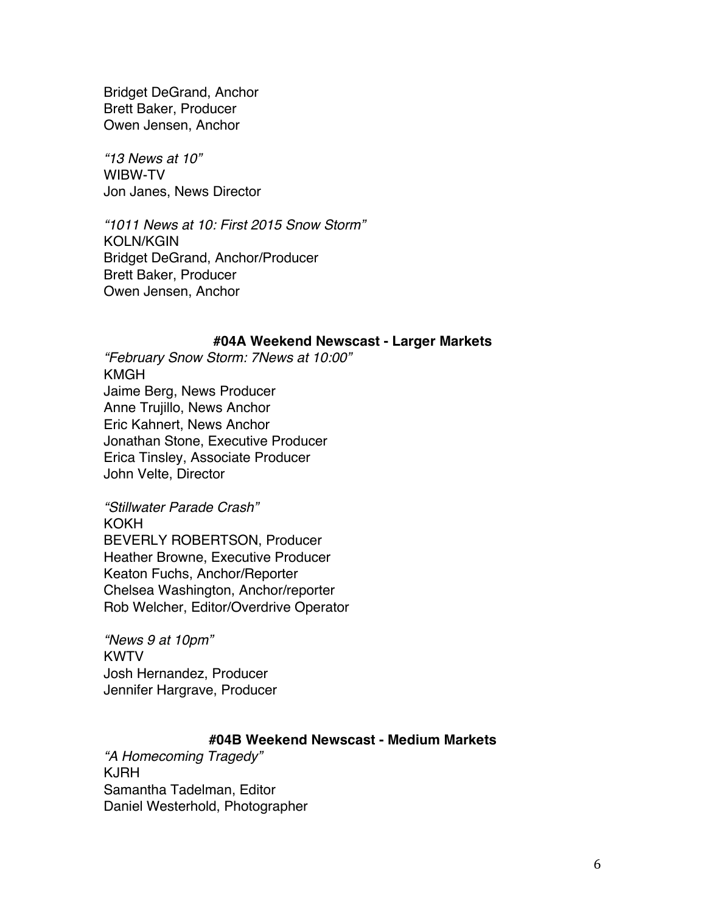Bridget DeGrand, Anchor Brett Baker, Producer Owen Jensen, Anchor

*"13 News at 10"* WIBW-TV Jon Janes, News Director

*"1011 News at 10: First 2015 Snow Storm"* KOLN/KGIN Bridget DeGrand, Anchor/Producer Brett Baker, Producer Owen Jensen, Anchor

### **#04A Weekend Newscast - Larger Markets**

*"February Snow Storm: 7News at 10:00"* KMGH Jaime Berg, News Producer Anne Trujillo, News Anchor Eric Kahnert, News Anchor Jonathan Stone, Executive Producer Erica Tinsley, Associate Producer John Velte, Director

*"Stillwater Parade Crash"* KOKH BEVERLY ROBERTSON, Producer Heather Browne, Executive Producer Keaton Fuchs, Anchor/Reporter Chelsea Washington, Anchor/reporter Rob Welcher, Editor/Overdrive Operator

*"News 9 at 10pm"* KWTV Josh Hernandez, Producer Jennifer Hargrave, Producer

# **#04B Weekend Newscast - Medium Markets**

*"A Homecoming Tragedy"* KJRH Samantha Tadelman, Editor Daniel Westerhold, Photographer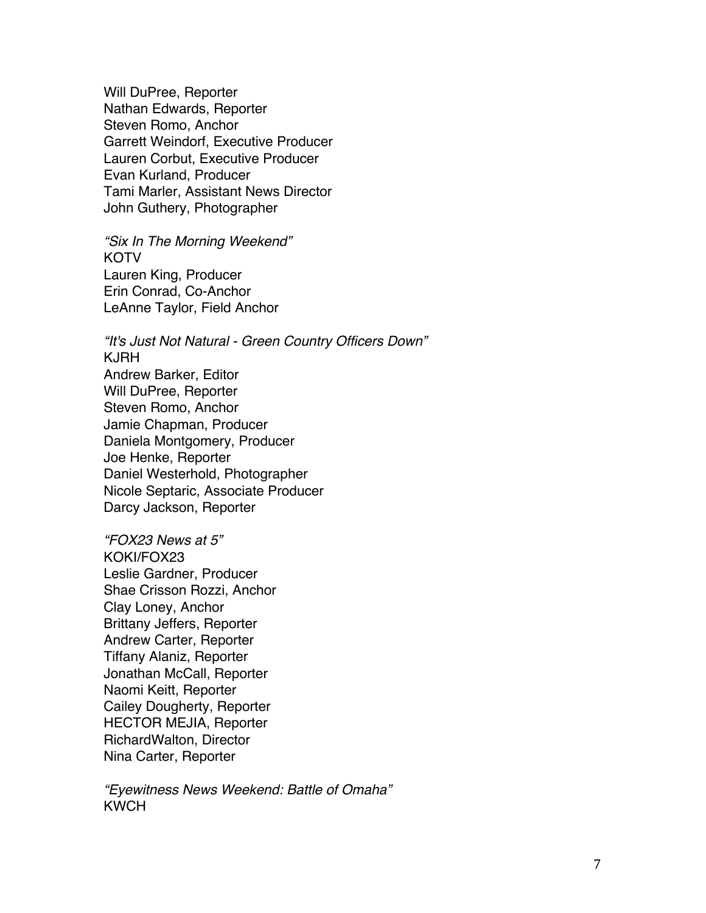Will DuPree, Reporter Nathan Edwards, Reporter Steven Romo, Anchor Garrett Weindorf, Executive Producer Lauren Corbut, Executive Producer Evan Kurland, Producer Tami Marler, Assistant News Director John Guthery, Photographer

*"Six In The Morning Weekend"* KOTV Lauren King, Producer Erin Conrad, Co-Anchor LeAnne Taylor, Field Anchor

*"It's Just Not Natural - Green Country Officers Down"* KJRH Andrew Barker, Editor Will DuPree, Reporter Steven Romo, Anchor Jamie Chapman, Producer Daniela Montgomery, Producer Joe Henke, Reporter Daniel Westerhold, Photographer Nicole Septaric, Associate Producer Darcy Jackson, Reporter

*"FOX23 News at 5"* KOKI/FOX23 Leslie Gardner, Producer Shae Crisson Rozzi, Anchor Clay Loney, Anchor Brittany Jeffers, Reporter Andrew Carter, Reporter Tiffany Alaniz, Reporter Jonathan McCall, Reporter Naomi Keitt, Reporter Cailey Dougherty, Reporter HECTOR MEJIA, Reporter RichardWalton, Director Nina Carter, Reporter

*"Eyewitness News Weekend: Battle of Omaha"* **KWCH**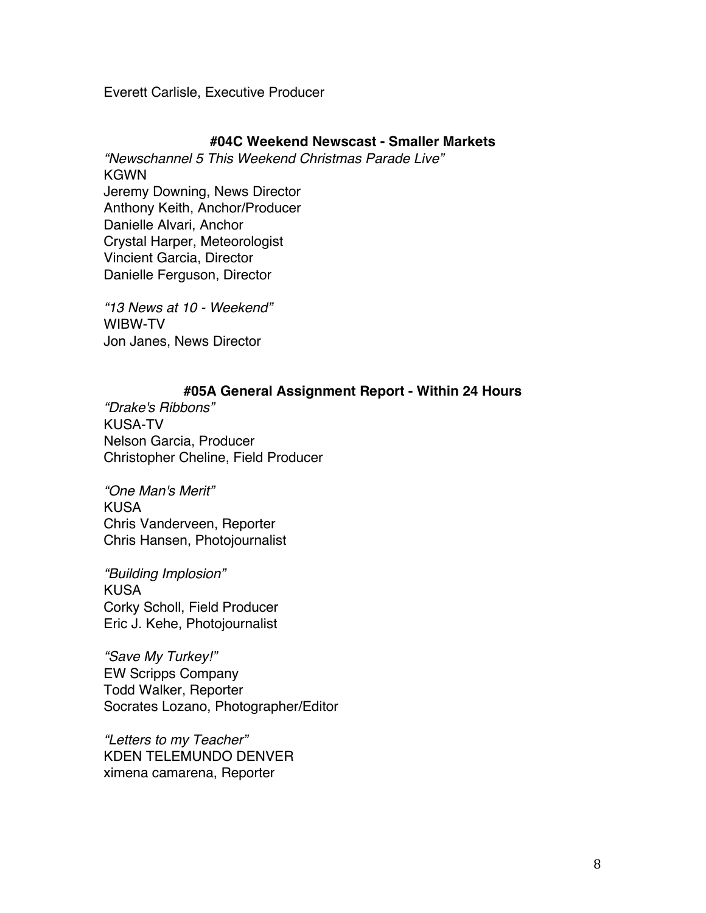Everett Carlisle, Executive Producer

## **#04C Weekend Newscast - Smaller Markets**

*"Newschannel 5 This Weekend Christmas Parade Live"* KGWN Jeremy Downing, News Director Anthony Keith, Anchor/Producer Danielle Alvari, Anchor Crystal Harper, Meteorologist Vincient Garcia, Director Danielle Ferguson, Director

*"13 News at 10 - Weekend"* WIBW-TV Jon Janes, News Director

## **#05A General Assignment Report - Within 24 Hours**

*"Drake's Ribbons"* KUSA-TV Nelson Garcia, Producer Christopher Cheline, Field Producer

*"One Man's Merit"* KUSA Chris Vanderveen, Reporter Chris Hansen, Photojournalist

*"Building Implosion"* KUSA Corky Scholl, Field Producer Eric J. Kehe, Photojournalist

*"Save My Turkey!"* EW Scripps Company Todd Walker, Reporter Socrates Lozano, Photographer/Editor

*"Letters to my Teacher"* KDEN TELEMUNDO DENVER ximena camarena, Reporter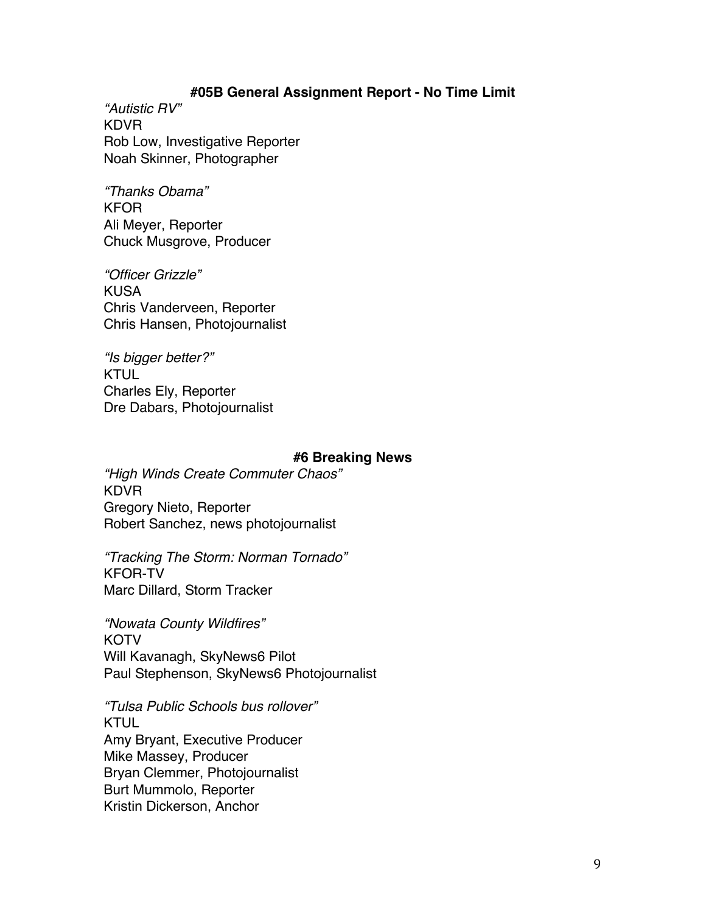## **#05B General Assignment Report - No Time Limit**

*"Autistic RV"* KDVR Rob Low, Investigative Reporter Noah Skinner, Photographer

*"Thanks Obama"* KFOR Ali Meyer, Reporter Chuck Musgrove, Producer

*"Officer Grizzle"* KUSA Chris Vanderveen, Reporter Chris Hansen, Photojournalist

*"Is bigger better?"* **KTUL** Charles Ely, Reporter Dre Dabars, Photojournalist

#### **#6 Breaking News**

*"High Winds Create Commuter Chaos"* KDVR Gregory Nieto, Reporter Robert Sanchez, news photojournalist

*"Tracking The Storm: Norman Tornado"* KFOR-TV Marc Dillard, Storm Tracker

*"Nowata County Wildfires"* **KOTV** Will Kavanagh, SkyNews6 Pilot Paul Stephenson, SkyNews6 Photojournalist

*"Tulsa Public Schools bus rollover"* KTUL Amy Bryant, Executive Producer Mike Massey, Producer Bryan Clemmer, Photojournalist Burt Mummolo, Reporter Kristin Dickerson, Anchor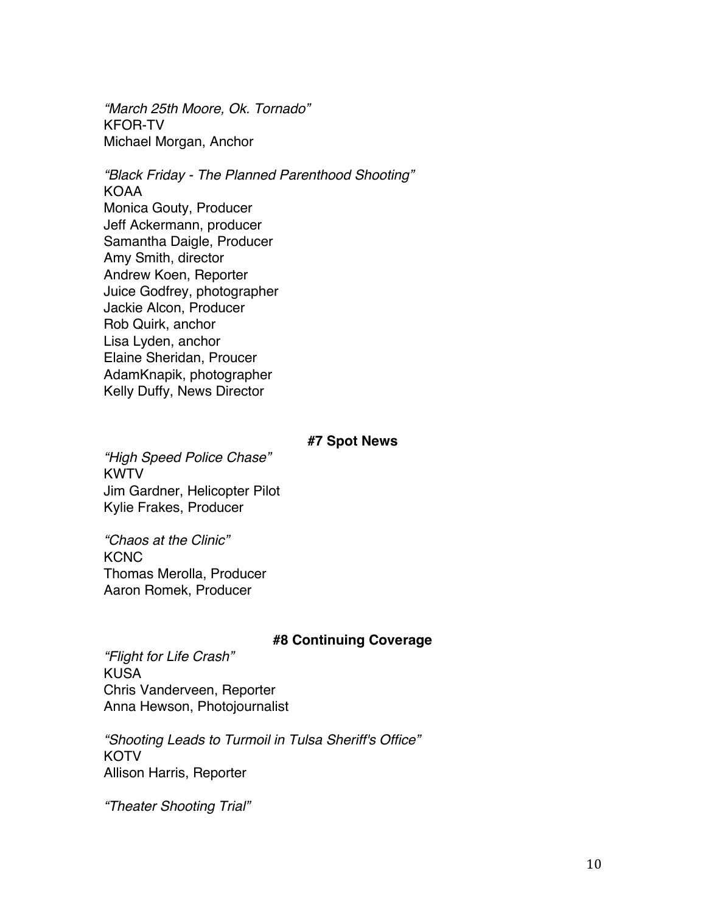*"March 25th Moore, Ok. Tornado"* KFOR-TV Michael Morgan, Anchor

*"Black Friday - The Planned Parenthood Shooting"* KOAA Monica Gouty, Producer Jeff Ackermann, producer Samantha Daigle, Producer Amy Smith, director Andrew Koen, Reporter Juice Godfrey, photographer Jackie Alcon, Producer Rob Quirk, anchor Lisa Lyden, anchor Elaine Sheridan, Proucer AdamKnapik, photographer Kelly Duffy, News Director

### **#7 Spot News**

*"High Speed Police Chase"* KWTV Jim Gardner, Helicopter Pilot Kylie Frakes, Producer

*"Chaos at the Clinic"* **KCNC** Thomas Merolla, Producer Aaron Romek, Producer

## **#8 Continuing Coverage**

*"Flight for Life Crash"* KUSA Chris Vanderveen, Reporter Anna Hewson, Photojournalist

*"Shooting Leads to Turmoil in Tulsa Sheriff's Office"* **KOTV** Allison Harris, Reporter

*"Theater Shooting Trial"*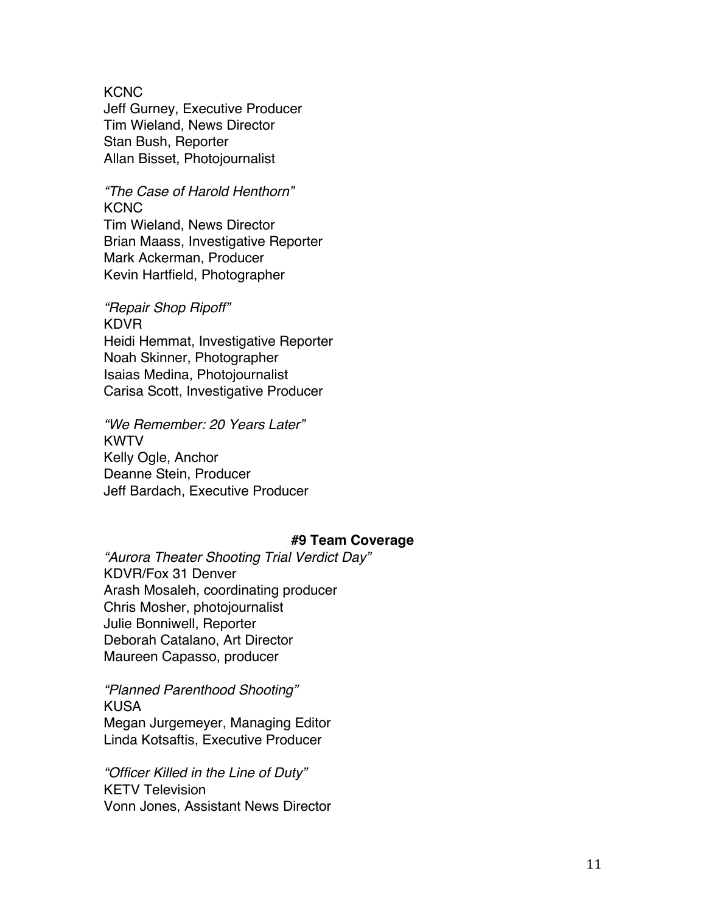**KCNC** 

Jeff Gurney, Executive Producer Tim Wieland, News Director Stan Bush, Reporter Allan Bisset, Photojournalist

*"The Case of Harold Henthorn"* **KCNC** 

Tim Wieland, News Director Brian Maass, Investigative Reporter Mark Ackerman, Producer Kevin Hartfield, Photographer

*"Repair Shop Ripoff"* KDVR Heidi Hemmat, Investigative Reporter Noah Skinner, Photographer Isaias Medina, Photojournalist Carisa Scott, Investigative Producer

*"We Remember: 20 Years Later"* KWTV Kelly Ogle, Anchor Deanne Stein, Producer Jeff Bardach, Executive Producer

## **#9 Team Coverage**

*"Aurora Theater Shooting Trial Verdict Day"* KDVR/Fox 31 Denver Arash Mosaleh, coordinating producer Chris Mosher, photojournalist Julie Bonniwell, Reporter Deborah Catalano, Art Director Maureen Capasso, producer

*"Planned Parenthood Shooting"* KUSA Megan Jurgemeyer, Managing Editor Linda Kotsaftis, Executive Producer

*"Officer Killed in the Line of Duty"* KETV Television Vonn Jones, Assistant News Director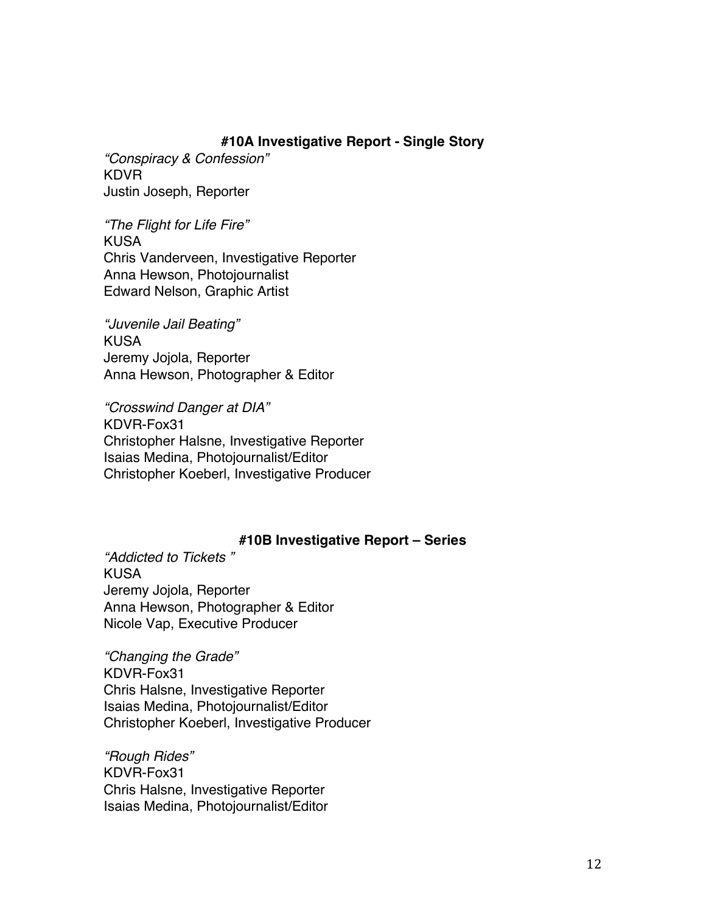# **#10A Investigative Report - Single Story**

*"Conspiracy & Confession"* KDVR Justin Joseph, Reporter

*"The Flight for Life Fire"* KUSA Chris Vanderveen, Investigative Reporter Anna Hewson, Photojournalist Edward Nelson, Graphic Artist

*"Juvenile Jail Beating"* KUSA Jeremy Jojola, Reporter Anna Hewson, Photographer & Editor

*"Crosswind Danger at DIA"* KDVR-Fox31 Christopher Halsne, Investigative Reporter Isaias Medina, Photojournalist/Editor Christopher Koeberl, Investigative Producer

# **#10B Investigative Report – Series**

*"Addicted to Tickets "* KUSA Jeremy Jojola, Reporter Anna Hewson, Photographer & Editor Nicole Vap, Executive Producer

*"Changing the Grade"* KDVR-Fox31 Chris Halsne, Investigative Reporter Isaias Medina, Photojournalist/Editor Christopher Koeberl, Investigative Producer

*"Rough Rides"* KDVR-Fox31 Chris Halsne, Investigative Reporter Isaias Medina, Photojournalist/Editor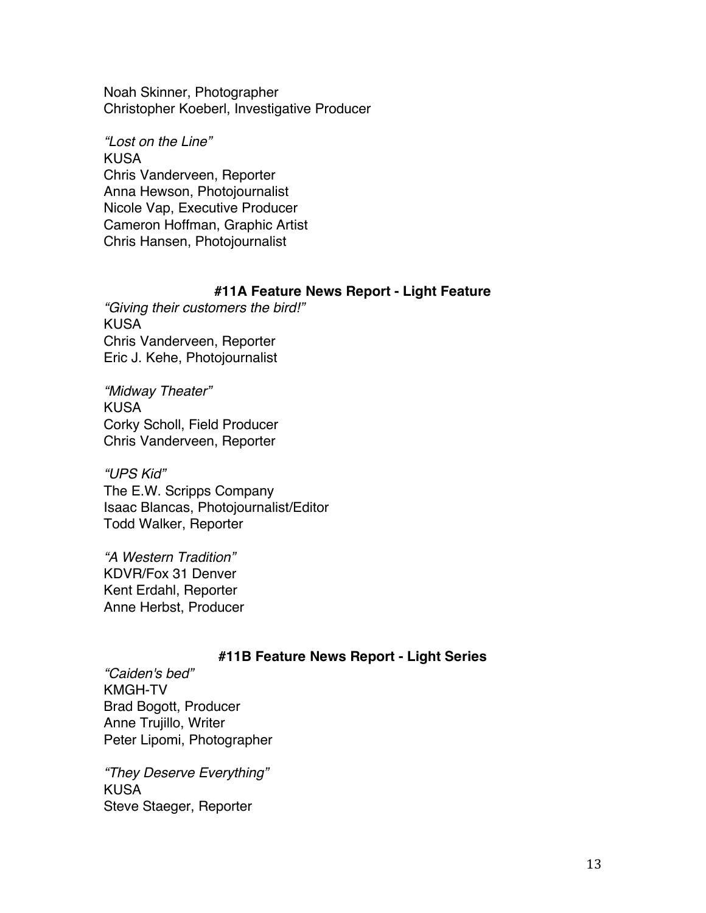Noah Skinner, Photographer Christopher Koeberl, Investigative Producer

*"Lost on the Line"* KUSA Chris Vanderveen, Reporter Anna Hewson, Photojournalist Nicole Vap, Executive Producer Cameron Hoffman, Graphic Artist Chris Hansen, Photojournalist

## **#11A Feature News Report - Light Feature**

*"Giving their customers the bird!"* KUSA Chris Vanderveen, Reporter Eric J. Kehe, Photojournalist

*"Midway Theater"* KUSA Corky Scholl, Field Producer Chris Vanderveen, Reporter

*"UPS Kid"* The E.W. Scripps Company Isaac Blancas, Photojournalist/Editor Todd Walker, Reporter

*"A Western Tradition"* KDVR/Fox 31 Denver Kent Erdahl, Reporter Anne Herbst, Producer

# **#11B Feature News Report - Light Series**

*"Caiden's bed"* KMGH-TV Brad Bogott, Producer Anne Trujillo, Writer Peter Lipomi, Photographer

*"They Deserve Everything"* KUSA Steve Staeger, Reporter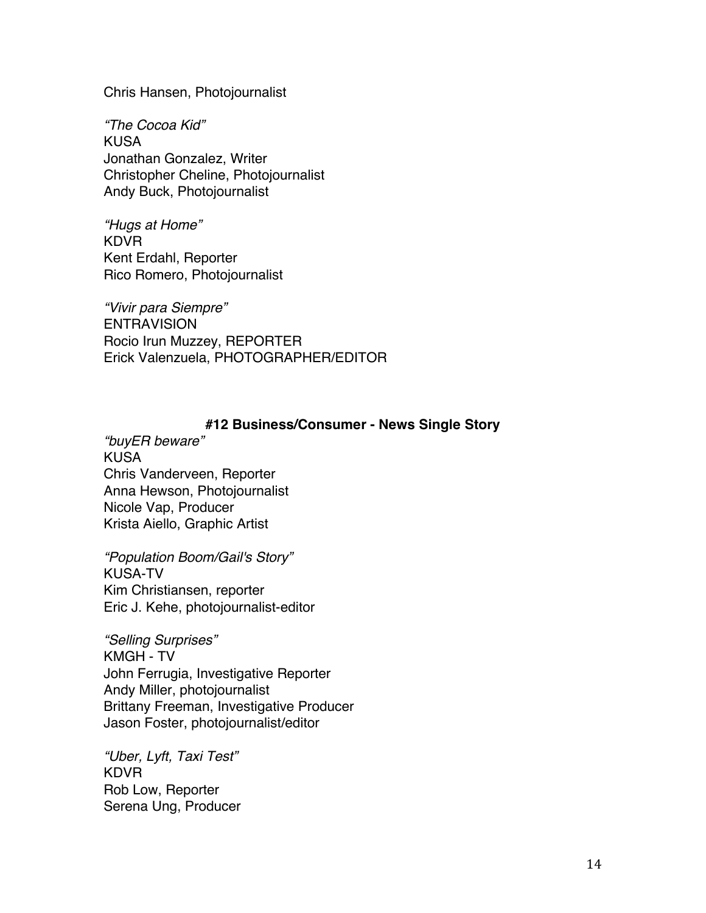Chris Hansen, Photojournalist

*"The Cocoa Kid"* KUSA Jonathan Gonzalez, Writer Christopher Cheline, Photojournalist Andy Buck, Photojournalist

*"Hugs at Home"* KDVR Kent Erdahl, Reporter Rico Romero, Photojournalist

*"Vivir para Siempre"* **ENTRAVISION** Rocio Irun Muzzey, REPORTER Erick Valenzuela, PHOTOGRAPHER/EDITOR

## **#12 Business/Consumer - News Single Story**

*"buyER beware"* KUSA Chris Vanderveen, Reporter Anna Hewson, Photojournalist Nicole Vap, Producer Krista Aiello, Graphic Artist

*"Population Boom/Gail's Story"* KUSA-TV Kim Christiansen, reporter Eric J. Kehe, photojournalist-editor

*"Selling Surprises"* KMGH - TV John Ferrugia, Investigative Reporter Andy Miller, photojournalist Brittany Freeman, Investigative Producer Jason Foster, photojournalist/editor

*"Uber, Lyft, Taxi Test"* KDVR Rob Low, Reporter Serena Ung, Producer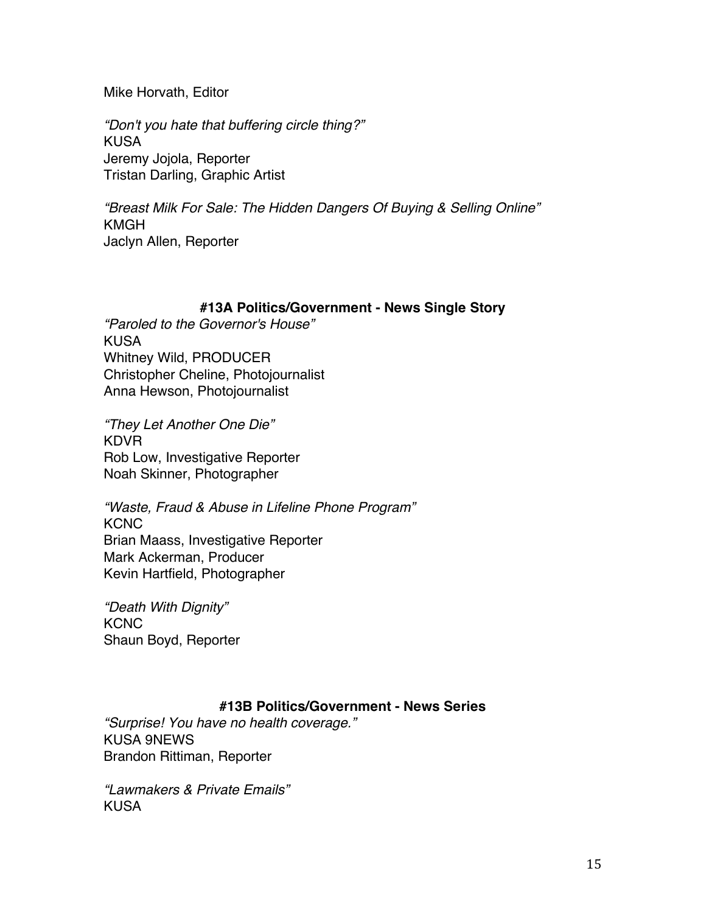Mike Horvath, Editor

*"Don't you hate that buffering circle thing?"* KUSA Jeremy Jojola, Reporter Tristan Darling, Graphic Artist

*"Breast Milk For Sale: The Hidden Dangers Of Buying & Selling Online"* KMGH Jaclyn Allen, Reporter

## **#13A Politics/Government - News Single Story**

*"Paroled to the Governor's House"* KUSA Whitney Wild, PRODUCER Christopher Cheline, Photojournalist Anna Hewson, Photojournalist

*"They Let Another One Die"* KDVR Rob Low, Investigative Reporter Noah Skinner, Photographer

*"Waste, Fraud & Abuse in Lifeline Phone Program"* KCNC Brian Maass, Investigative Reporter Mark Ackerman, Producer Kevin Hartfield, Photographer

*"Death With Dignity"* **KCNC** Shaun Boyd, Reporter

# **#13B Politics/Government - News Series**

*"Surprise! You have no health coverage."* KUSA 9NEWS Brandon Rittiman, Reporter

*"Lawmakers & Private Emails"* KUSA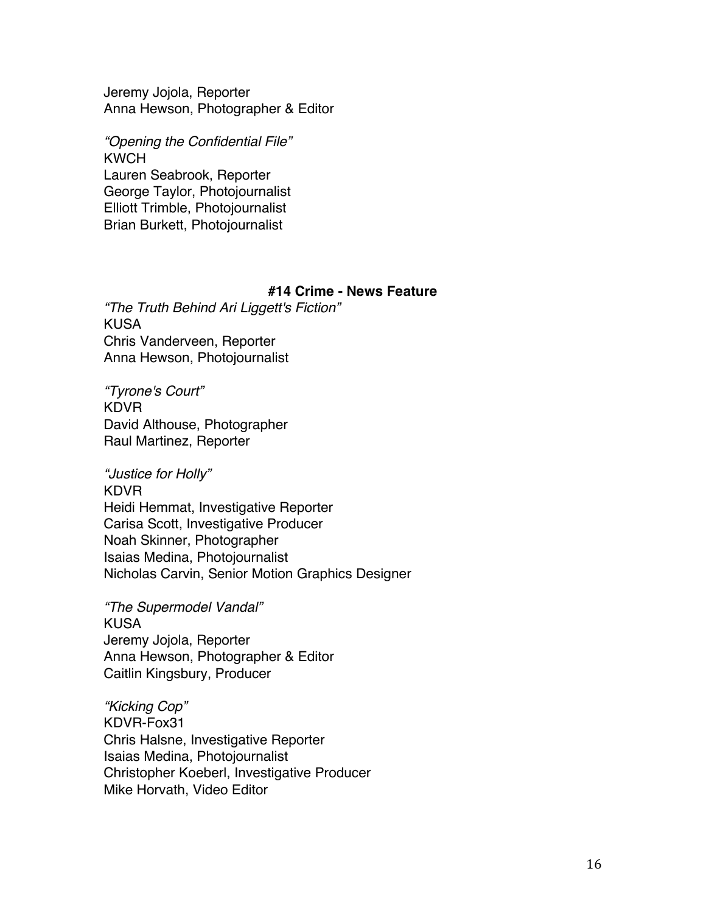Jeremy Jojola, Reporter Anna Hewson, Photographer & Editor

*"Opening the Confidential File"* KWCH Lauren Seabrook, Reporter George Taylor, Photojournalist Elliott Trimble, Photojournalist Brian Burkett, Photojournalist

### **#14 Crime - News Feature**

*"The Truth Behind Ari Liggett's Fiction"* KUSA Chris Vanderveen, Reporter Anna Hewson, Photojournalist

*"Tyrone's Court"* KDVR David Althouse, Photographer Raul Martinez, Reporter

*"Justice for Holly"* KDVR Heidi Hemmat, Investigative Reporter Carisa Scott, Investigative Producer Noah Skinner, Photographer Isaias Medina, Photojournalist Nicholas Carvin, Senior Motion Graphics Designer

*"The Supermodel Vandal"* KUSA Jeremy Jojola, Reporter Anna Hewson, Photographer & Editor Caitlin Kingsbury, Producer

*"Kicking Cop"* KDVR-Fox31 Chris Halsne, Investigative Reporter Isaias Medina, Photojournalist Christopher Koeberl, Investigative Producer Mike Horvath, Video Editor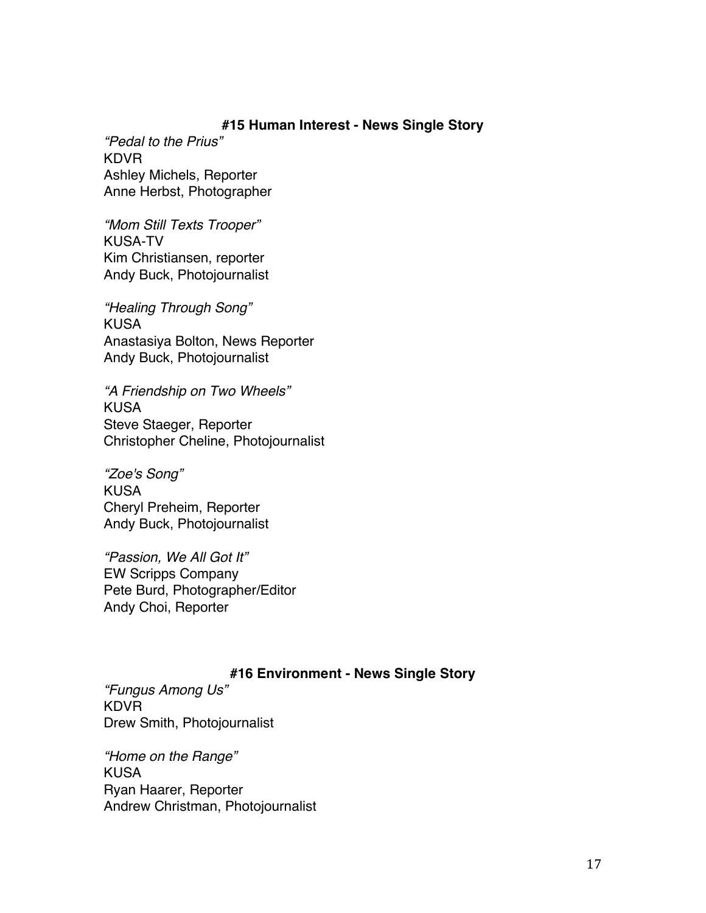## **#15 Human Interest - News Single Story**

*"Pedal to the Prius"* KDVR Ashley Michels, Reporter Anne Herbst, Photographer

*"Mom Still Texts Trooper"* KUSA-TV Kim Christiansen, reporter Andy Buck, Photojournalist

*"Healing Through Song"* KUSA Anastasiya Bolton, News Reporter Andy Buck, Photojournalist

*"A Friendship on Two Wheels"* KUSA Steve Staeger, Reporter Christopher Cheline, Photojournalist

*"Zoe's Song"* KUSA Cheryl Preheim, Reporter Andy Buck, Photojournalist

*"Passion, We All Got It"* EW Scripps Company Pete Burd, Photographer/Editor Andy Choi, Reporter

# **#16 Environment - News Single Story**

*"Fungus Among Us"* KDVR Drew Smith, Photojournalist

*"Home on the Range"* KUSA Ryan Haarer, Reporter Andrew Christman, Photojournalist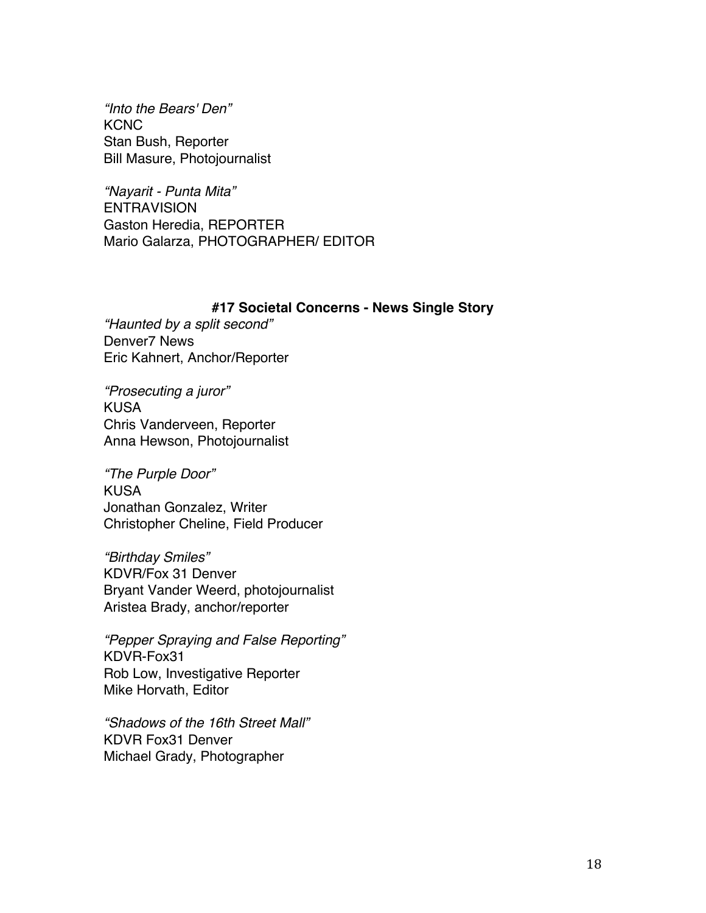*"Into the Bears' Den"* **KCNC** Stan Bush, Reporter Bill Masure, Photojournalist

*"Nayarit - Punta Mita"* ENTRAVISION Gaston Heredia, REPORTER Mario Galarza, PHOTOGRAPHER/ EDITOR

### **#17 Societal Concerns - News Single Story**

*"Haunted by a split second"* Denver7 News Eric Kahnert, Anchor/Reporter

*"Prosecuting a juror"* KUSA Chris Vanderveen, Reporter Anna Hewson, Photojournalist

*"The Purple Door"* KUSA Jonathan Gonzalez, Writer Christopher Cheline, Field Producer

*"Birthday Smiles"* KDVR/Fox 31 Denver Bryant Vander Weerd, photojournalist Aristea Brady, anchor/reporter

*"Pepper Spraying and False Reporting"* KDVR-Fox31 Rob Low, Investigative Reporter Mike Horvath, Editor

*"Shadows of the 16th Street Mall"* KDVR Fox31 Denver Michael Grady, Photographer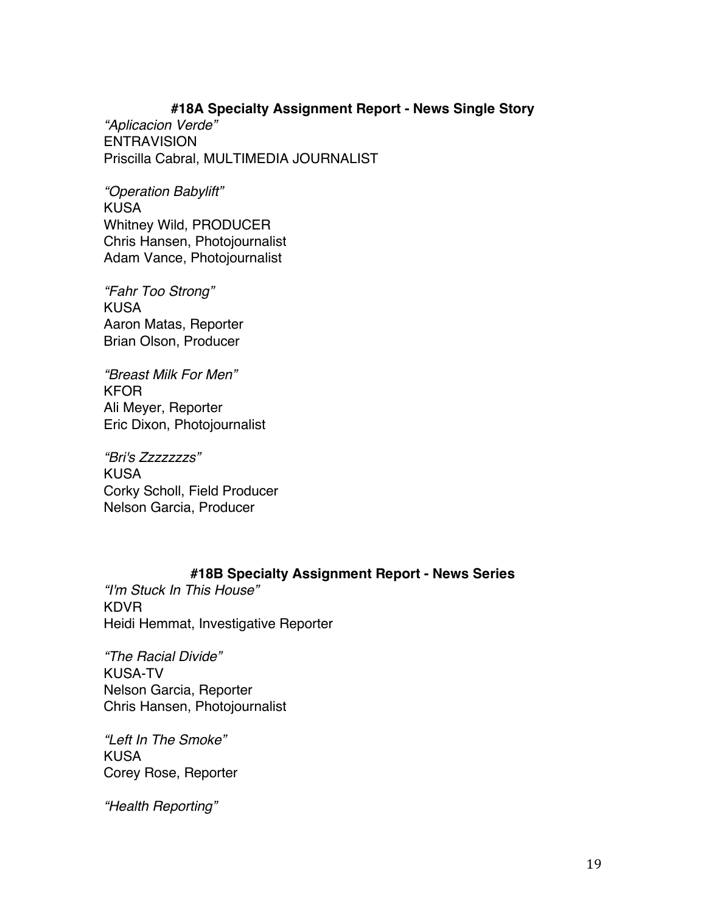# **#18A Specialty Assignment Report - News Single Story**

*"Aplicacion Verde"* **ENTRAVISION** Priscilla Cabral, MULTIMEDIA JOURNALIST

*"Operation Babylift"* KUSA Whitney Wild, PRODUCER Chris Hansen, Photojournalist Adam Vance, Photojournalist

*"Fahr Too Strong"* KUSA Aaron Matas, Reporter Brian Olson, Producer

*"Breast Milk For Men"* KFOR Ali Meyer, Reporter Eric Dixon, Photojournalist

*"Bri's Zzzzzzzs"* KUSA Corky Scholl, Field Producer Nelson Garcia, Producer

# **#18B Specialty Assignment Report - News Series**

*"I'm Stuck In This House"* KDVR Heidi Hemmat, Investigative Reporter

*"The Racial Divide"* KUSA-TV Nelson Garcia, Reporter Chris Hansen, Photojournalist

*"Left In The Smoke"* KUSA Corey Rose, Reporter

*"Health Reporting"*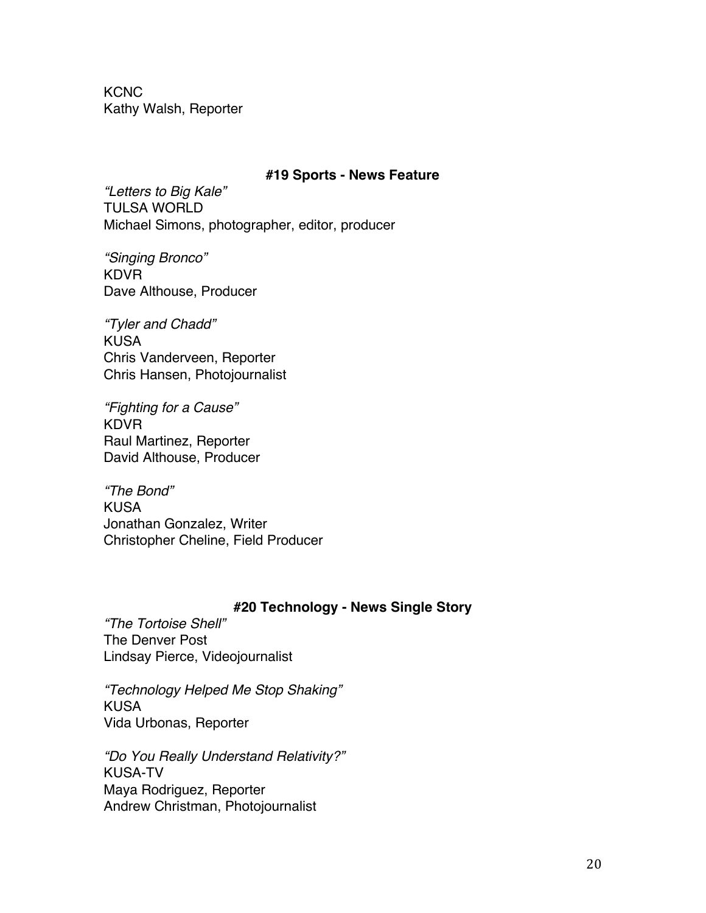**KCNC** Kathy Walsh, Reporter

### **#19 Sports - News Feature**

*"Letters to Big Kale"* TULSA WORLD Michael Simons, photographer, editor, producer

*"Singing Bronco"* KDVR Dave Althouse, Producer

*"Tyler and Chadd"* KUSA Chris Vanderveen, Reporter Chris Hansen, Photojournalist

*"Fighting for a Cause"* KDVR Raul Martinez, Reporter David Althouse, Producer

*"The Bond"* KUSA Jonathan Gonzalez, Writer Christopher Cheline, Field Producer

## **#20 Technology - News Single Story**

*"The Tortoise Shell"* The Denver Post Lindsay Pierce, Videojournalist

*"Technology Helped Me Stop Shaking"* KUSA Vida Urbonas, Reporter

*"Do You Really Understand Relativity?"* KUSA-TV Maya Rodriguez, Reporter Andrew Christman, Photojournalist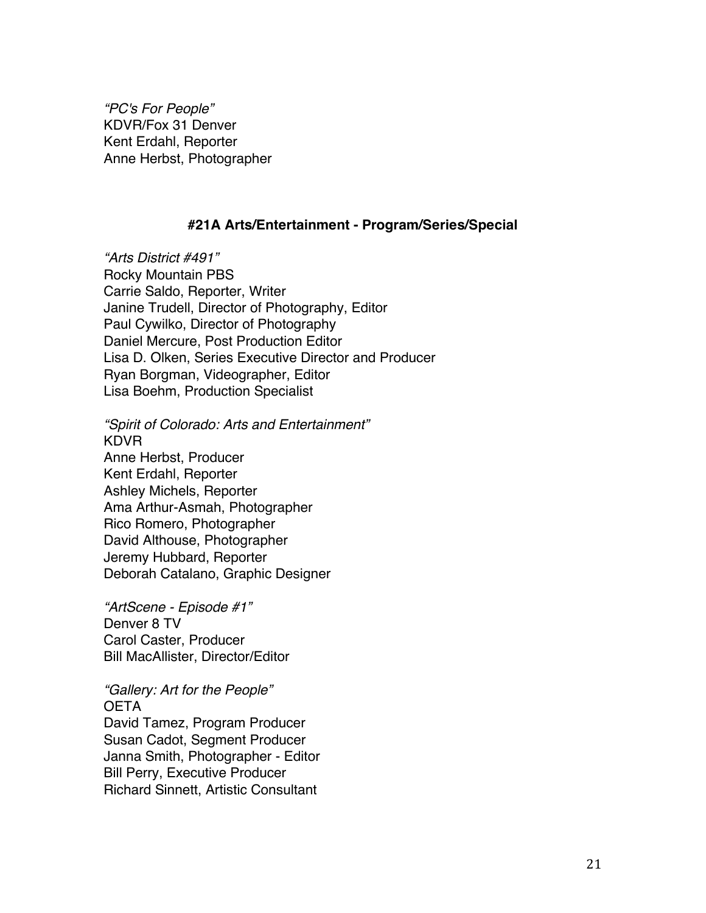*"PC's For People"* KDVR/Fox 31 Denver Kent Erdahl, Reporter Anne Herbst, Photographer

## **#21A Arts/Entertainment - Program/Series/Special**

*"Arts District #491"* Rocky Mountain PBS Carrie Saldo, Reporter, Writer Janine Trudell, Director of Photography, Editor Paul Cywilko, Director of Photography Daniel Mercure, Post Production Editor Lisa D. Olken, Series Executive Director and Producer Ryan Borgman, Videographer, Editor Lisa Boehm, Production Specialist

*"Spirit of Colorado: Arts and Entertainment"* KDVR Anne Herbst, Producer Kent Erdahl, Reporter Ashley Michels, Reporter Ama Arthur-Asmah, Photographer Rico Romero, Photographer David Althouse, Photographer Jeremy Hubbard, Reporter Deborah Catalano, Graphic Designer

*"ArtScene - Episode #1"* Denver 8 TV Carol Caster, Producer Bill MacAllister, Director/Editor

*"Gallery: Art for the People"* OETA David Tamez, Program Producer Susan Cadot, Segment Producer Janna Smith, Photographer - Editor Bill Perry, Executive Producer Richard Sinnett, Artistic Consultant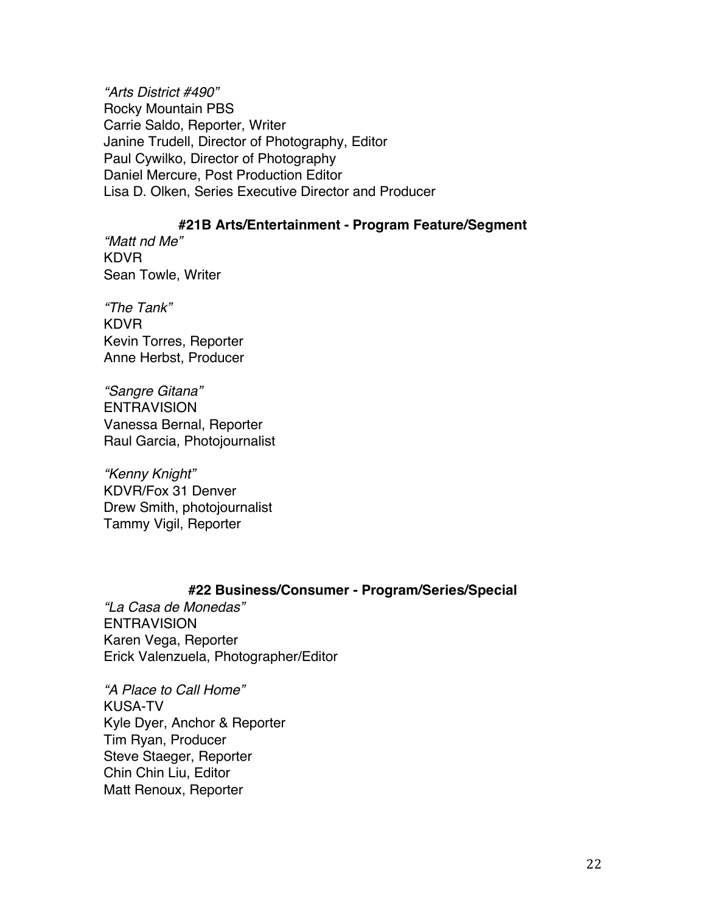*"Arts District #490"* Rocky Mountain PBS Carrie Saldo, Reporter, Writer Janine Trudell, Director of Photography, Editor Paul Cywilko, Director of Photography Daniel Mercure, Post Production Editor Lisa D. Olken, Series Executive Director and Producer

## **#21B Arts/Entertainment - Program Feature/Segment**

*"Matt nd Me"* KDVR Sean Towle, Writer

*"The Tank"* KDVR Kevin Torres, Reporter Anne Herbst, Producer

*"Sangre Gitana"* ENTRAVISION Vanessa Bernal, Reporter Raul Garcia, Photojournalist

*"Kenny Knight"* KDVR/Fox 31 Denver Drew Smith, photojournalist Tammy Vigil, Reporter

# **#22 Business/Consumer - Program/Series/Special**

*"La Casa de Monedas"* **ENTRAVISION** Karen Vega, Reporter Erick Valenzuela, Photographer/Editor

*"A Place to Call Home"* KUSA-TV Kyle Dyer, Anchor & Reporter Tim Ryan, Producer Steve Staeger, Reporter Chin Chin Liu, Editor Matt Renoux, Reporter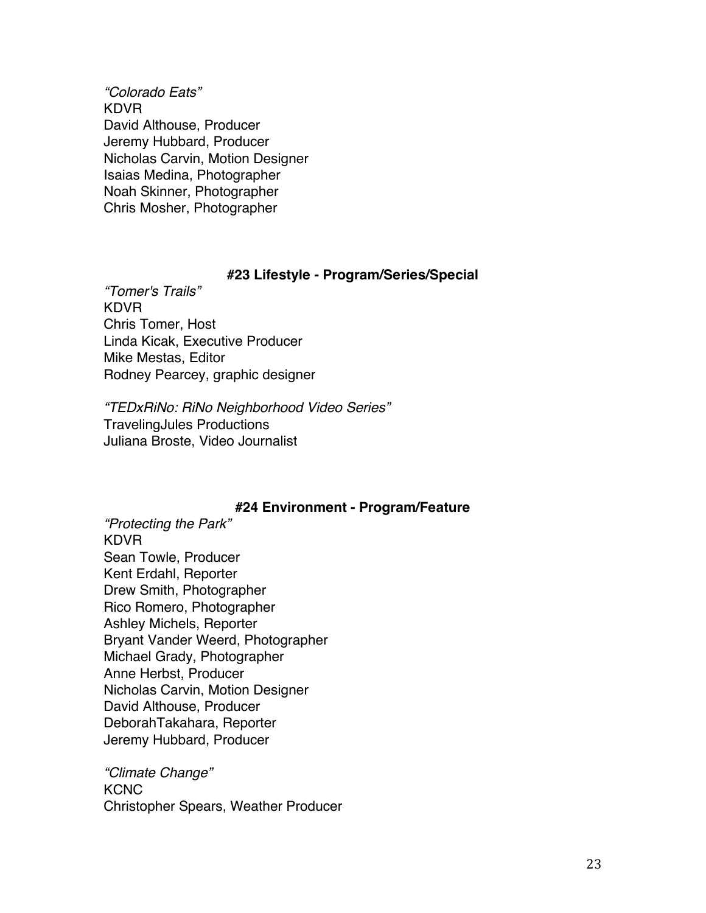*"Colorado Eats"* KDVR David Althouse, Producer Jeremy Hubbard, Producer Nicholas Carvin, Motion Designer Isaias Medina, Photographer Noah Skinner, Photographer Chris Mosher, Photographer

### **#23 Lifestyle - Program/Series/Special**

*"Tomer's Trails"* KDVR Chris Tomer, Host Linda Kicak, Executive Producer Mike Mestas, Editor Rodney Pearcey, graphic designer

*"TEDxRiNo: RiNo Neighborhood Video Series"* TravelingJules Productions Juliana Broste, Video Journalist

## **#24 Environment - Program/Feature**

*"Protecting the Park"* KDVR Sean Towle, Producer Kent Erdahl, Reporter Drew Smith, Photographer Rico Romero, Photographer Ashley Michels, Reporter Bryant Vander Weerd, Photographer Michael Grady, Photographer Anne Herbst, Producer Nicholas Carvin, Motion Designer David Althouse, Producer DeborahTakahara, Reporter Jeremy Hubbard, Producer

*"Climate Change"* KCNC Christopher Spears, Weather Producer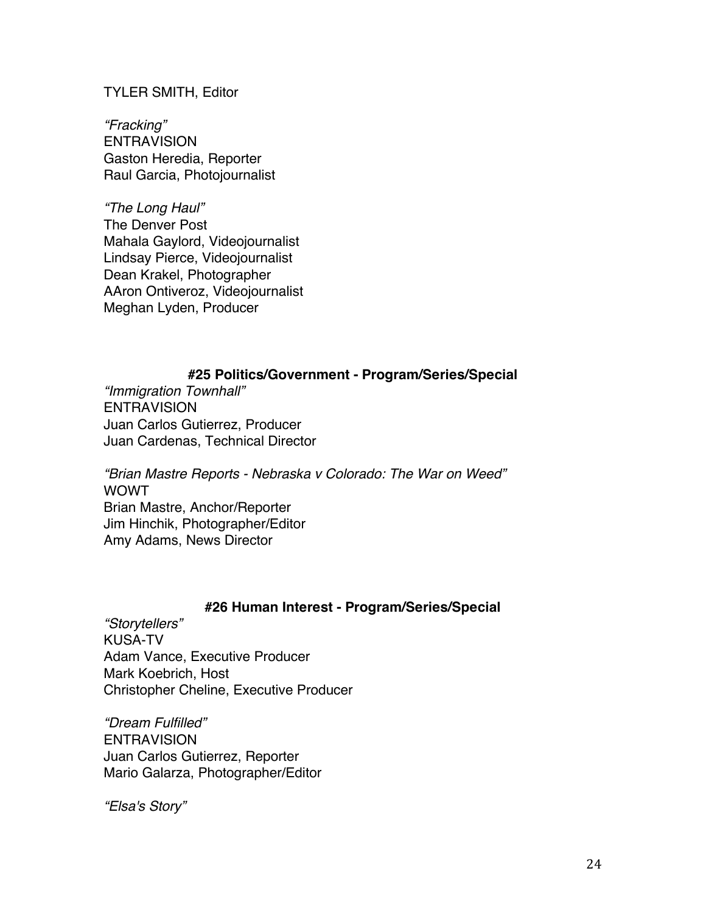TYLER SMITH, Editor

*"Fracking"* **ENTRAVISION** Gaston Heredia, Reporter Raul Garcia, Photojournalist

*"The Long Haul"* The Denver Post Mahala Gaylord, Videojournalist Lindsay Pierce, Videojournalist Dean Krakel, Photographer AAron Ontiveroz, Videojournalist Meghan Lyden, Producer

# **#25 Politics/Government - Program/Series/Special**

*"Immigration Townhall"* **ENTRAVISION** Juan Carlos Gutierrez, Producer Juan Cardenas, Technical Director

*"Brian Mastre Reports - Nebraska v Colorado: The War on Weed"* WOWT Brian Mastre, Anchor/Reporter Jim Hinchik, Photographer/Editor Amy Adams, News Director

## **#26 Human Interest - Program/Series/Special**

*"Storytellers"* KUSA-TV Adam Vance, Executive Producer Mark Koebrich, Host Christopher Cheline, Executive Producer

*"Dream Fulfilled"* **ENTRAVISION** Juan Carlos Gutierrez, Reporter Mario Galarza, Photographer/Editor

*"Elsa's Story"*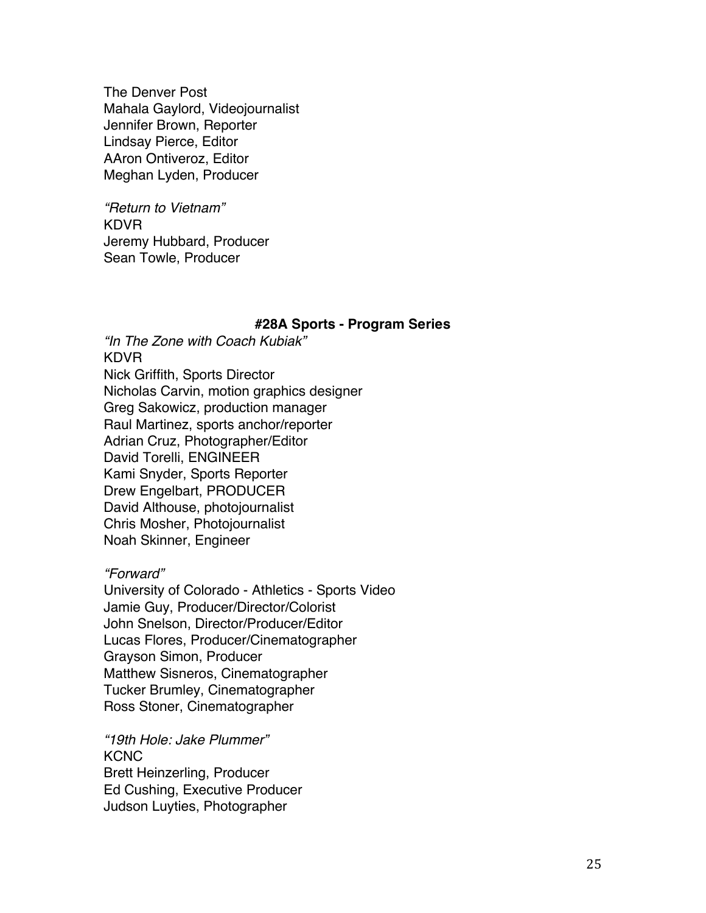The Denver Post Mahala Gaylord, Videojournalist Jennifer Brown, Reporter Lindsay Pierce, Editor AAron Ontiveroz, Editor Meghan Lyden, Producer

*"Return to Vietnam"* KDVR Jeremy Hubbard, Producer Sean Towle, Producer

#### **#28A Sports - Program Series**

*"In The Zone with Coach Kubiak"* KDVR Nick Griffith, Sports Director Nicholas Carvin, motion graphics designer Greg Sakowicz, production manager Raul Martinez, sports anchor/reporter Adrian Cruz, Photographer/Editor David Torelli, ENGINEER Kami Snyder, Sports Reporter Drew Engelbart, PRODUCER David Althouse, photojournalist Chris Mosher, Photojournalist Noah Skinner, Engineer

## *"Forward"*

University of Colorado - Athletics - Sports Video Jamie Guy, Producer/Director/Colorist John Snelson, Director/Producer/Editor Lucas Flores, Producer/Cinematographer Grayson Simon, Producer Matthew Sisneros, Cinematographer Tucker Brumley, Cinematographer Ross Stoner, Cinematographer

*"19th Hole: Jake Plummer"* **KCNC** Brett Heinzerling, Producer Ed Cushing, Executive Producer Judson Luyties, Photographer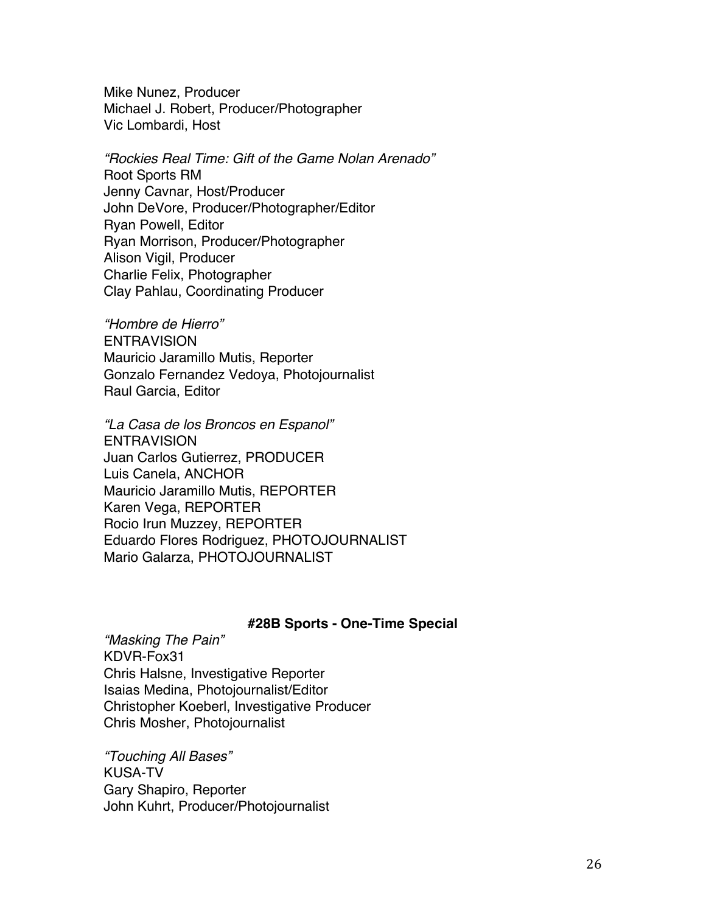Mike Nunez, Producer Michael J. Robert, Producer/Photographer Vic Lombardi, Host

*"Rockies Real Time: Gift of the Game Nolan Arenado"* Root Sports RM Jenny Cavnar, Host/Producer John DeVore, Producer/Photographer/Editor Ryan Powell, Editor Ryan Morrison, Producer/Photographer Alison Vigil, Producer Charlie Felix, Photographer Clay Pahlau, Coordinating Producer

*"Hombre de Hierro"* **ENTRAVISION** Mauricio Jaramillo Mutis, Reporter Gonzalo Fernandez Vedoya, Photojournalist Raul Garcia, Editor

*"La Casa de los Broncos en Espanol"* ENTRAVISION Juan Carlos Gutierrez, PRODUCER Luis Canela, ANCHOR Mauricio Jaramillo Mutis, REPORTER Karen Vega, REPORTER Rocio Irun Muzzey, REPORTER Eduardo Flores Rodriguez, PHOTOJOURNALIST Mario Galarza, PHOTOJOURNALIST

#### **#28B Sports - One-Time Special**

*"Masking The Pain"* KDVR-Fox31 Chris Halsne, Investigative Reporter Isaias Medina, Photojournalist/Editor Christopher Koeberl, Investigative Producer Chris Mosher, Photojournalist

*"Touching All Bases"* KUSA-TV Gary Shapiro, Reporter John Kuhrt, Producer/Photojournalist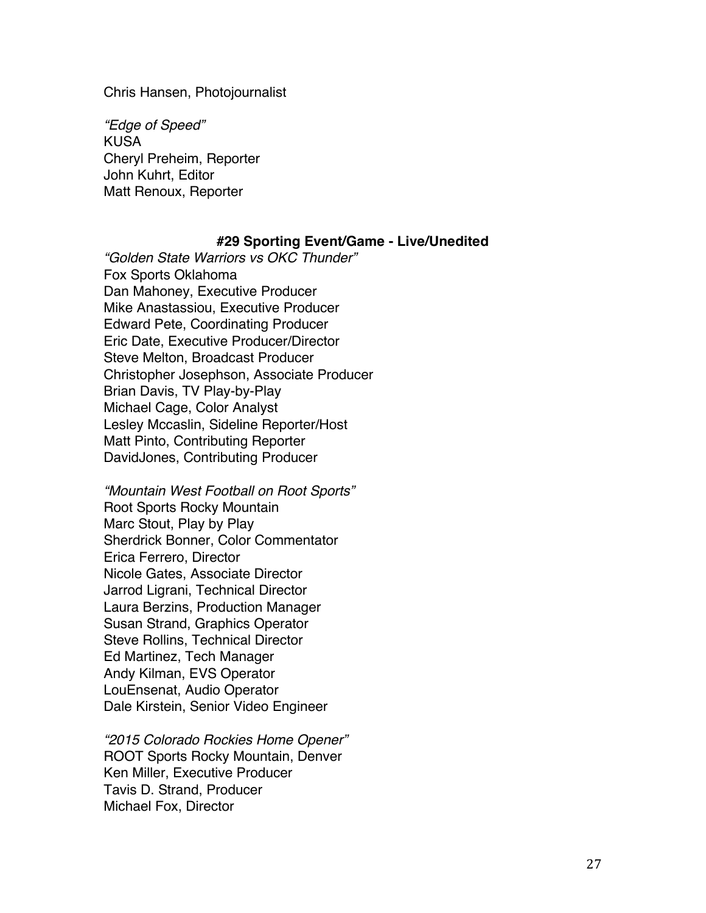Chris Hansen, Photojournalist

*"Edge of Speed"* KUSA Cheryl Preheim, Reporter John Kuhrt, Editor Matt Renoux, Reporter

### **#29 Sporting Event/Game - Live/Unedited**

*"Golden State Warriors vs OKC Thunder"* Fox Sports Oklahoma Dan Mahoney, Executive Producer Mike Anastassiou, Executive Producer Edward Pete, Coordinating Producer Eric Date, Executive Producer/Director Steve Melton, Broadcast Producer Christopher Josephson, Associate Producer Brian Davis, TV Play-by-Play Michael Cage, Color Analyst Lesley Mccaslin, Sideline Reporter/Host Matt Pinto, Contributing Reporter DavidJones, Contributing Producer

*"Mountain West Football on Root Sports"* Root Sports Rocky Mountain Marc Stout, Play by Play Sherdrick Bonner, Color Commentator Erica Ferrero, Director Nicole Gates, Associate Director Jarrod Ligrani, Technical Director Laura Berzins, Production Manager Susan Strand, Graphics Operator Steve Rollins, Technical Director Ed Martinez, Tech Manager Andy Kilman, EVS Operator LouEnsenat, Audio Operator Dale Kirstein, Senior Video Engineer

*"2015 Colorado Rockies Home Opener"* ROOT Sports Rocky Mountain, Denver Ken Miller, Executive Producer Tavis D. Strand, Producer Michael Fox, Director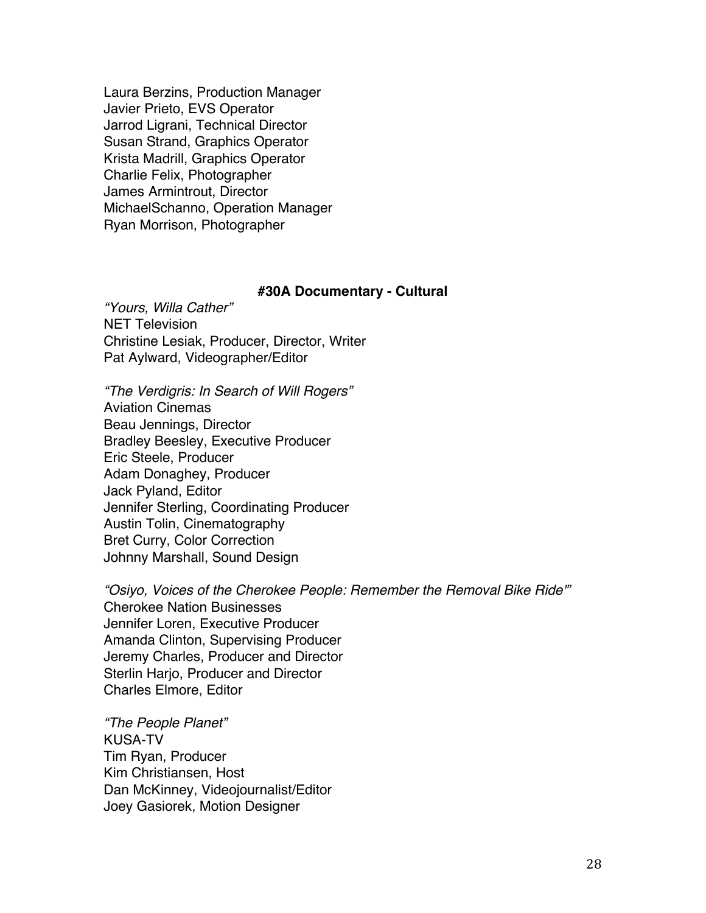Laura Berzins, Production Manager Javier Prieto, EVS Operator Jarrod Ligrani, Technical Director Susan Strand, Graphics Operator Krista Madrill, Graphics Operator Charlie Felix, Photographer James Armintrout, Director MichaelSchanno, Operation Manager Ryan Morrison, Photographer

#### **#30A Documentary - Cultural**

*"Yours, Willa Cather"* NET Television Christine Lesiak, Producer, Director, Writer Pat Aylward, Videographer/Editor

*"The Verdigris: In Search of Will Rogers"* Aviation Cinemas Beau Jennings, Director Bradley Beesley, Executive Producer Eric Steele, Producer Adam Donaghey, Producer Jack Pyland, Editor Jennifer Sterling, Coordinating Producer Austin Tolin, Cinematography Bret Curry, Color Correction Johnny Marshall, Sound Design

*"Osiyo, Voices of the Cherokee People: Remember the Removal Bike Ride'"* Cherokee Nation Businesses Jennifer Loren, Executive Producer Amanda Clinton, Supervising Producer Jeremy Charles, Producer and Director Sterlin Harjo, Producer and Director Charles Elmore, Editor

*"The People Planet"* KUSA-TV Tim Ryan, Producer Kim Christiansen, Host Dan McKinney, Videojournalist/Editor Joey Gasiorek, Motion Designer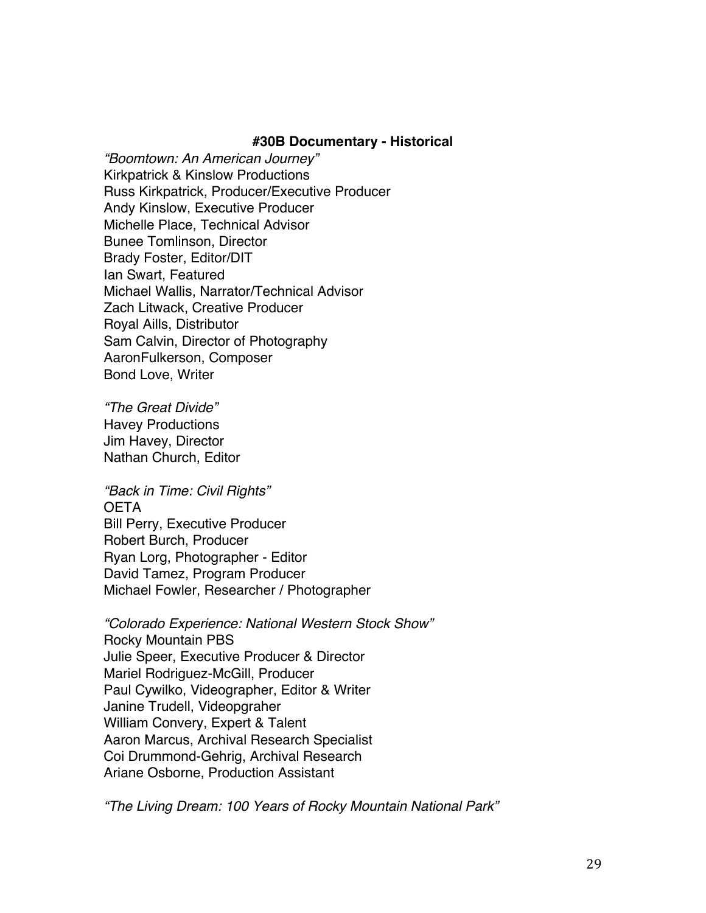### **#30B Documentary - Historical**

*"Boomtown: An American Journey"* Kirkpatrick & Kinslow Productions Russ Kirkpatrick, Producer/Executive Producer Andy Kinslow, Executive Producer Michelle Place, Technical Advisor Bunee Tomlinson, Director Brady Foster, Editor/DIT Ian Swart, Featured Michael Wallis, Narrator/Technical Advisor Zach Litwack, Creative Producer Royal Aills, Distributor Sam Calvin, Director of Photography AaronFulkerson, Composer Bond Love, Writer

*"The Great Divide"* Havey Productions Jim Havey, Director Nathan Church, Editor

*"Back in Time: Civil Rights"* **OETA** Bill Perry, Executive Producer Robert Burch, Producer Ryan Lorg, Photographer - Editor David Tamez, Program Producer Michael Fowler, Researcher / Photographer

*"Colorado Experience: National Western Stock Show"* Rocky Mountain PBS Julie Speer, Executive Producer & Director Mariel Rodriguez-McGill, Producer Paul Cywilko, Videographer, Editor & Writer Janine Trudell, Videopgraher William Convery, Expert & Talent Aaron Marcus, Archival Research Specialist Coi Drummond-Gehrig, Archival Research Ariane Osborne, Production Assistant

*"The Living Dream: 100 Years of Rocky Mountain National Park"*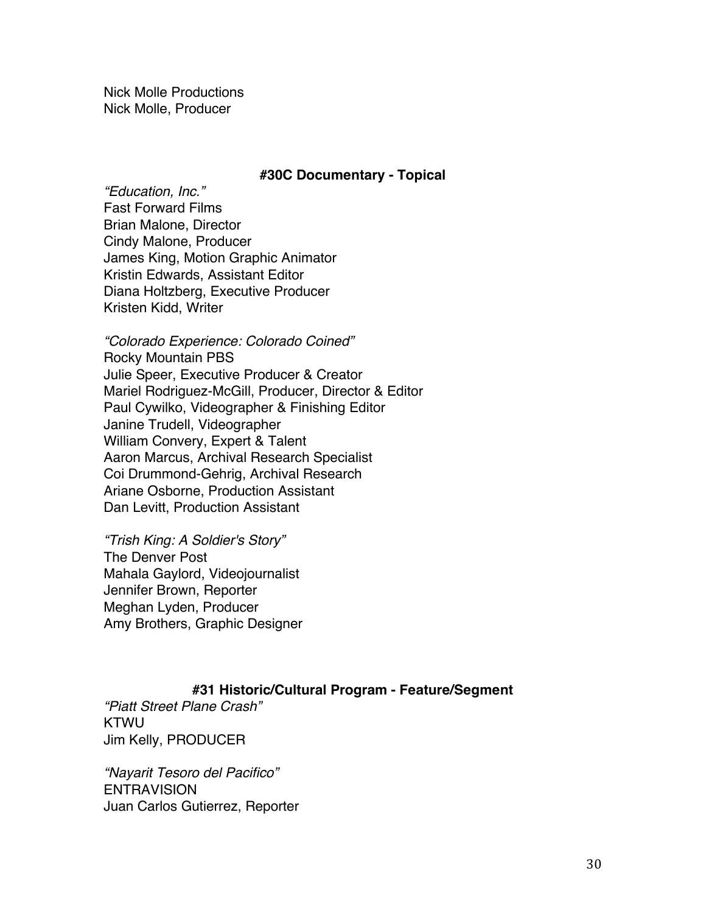Nick Molle Productions Nick Molle, Producer

### **#30C Documentary - Topical**

*"Education, Inc."* Fast Forward Films Brian Malone, Director Cindy Malone, Producer James King, Motion Graphic Animator Kristin Edwards, Assistant Editor Diana Holtzberg, Executive Producer Kristen Kidd, Writer

*"Colorado Experience: Colorado Coined"* Rocky Mountain PBS Julie Speer, Executive Producer & Creator Mariel Rodriguez-McGill, Producer, Director & Editor Paul Cywilko, Videographer & Finishing Editor Janine Trudell, Videographer William Convery, Expert & Talent Aaron Marcus, Archival Research Specialist Coi Drummond-Gehrig, Archival Research Ariane Osborne, Production Assistant Dan Levitt, Production Assistant

*"Trish King: A Soldier's Story"* The Denver Post Mahala Gaylord, Videojournalist Jennifer Brown, Reporter Meghan Lyden, Producer Amy Brothers, Graphic Designer

## **#31 Historic/Cultural Program - Feature/Segment**

*"Piatt Street Plane Crash"* KTWU Jim Kelly, PRODUCER

*"Nayarit Tesoro del Pacifico"* ENTRAVISION Juan Carlos Gutierrez, Reporter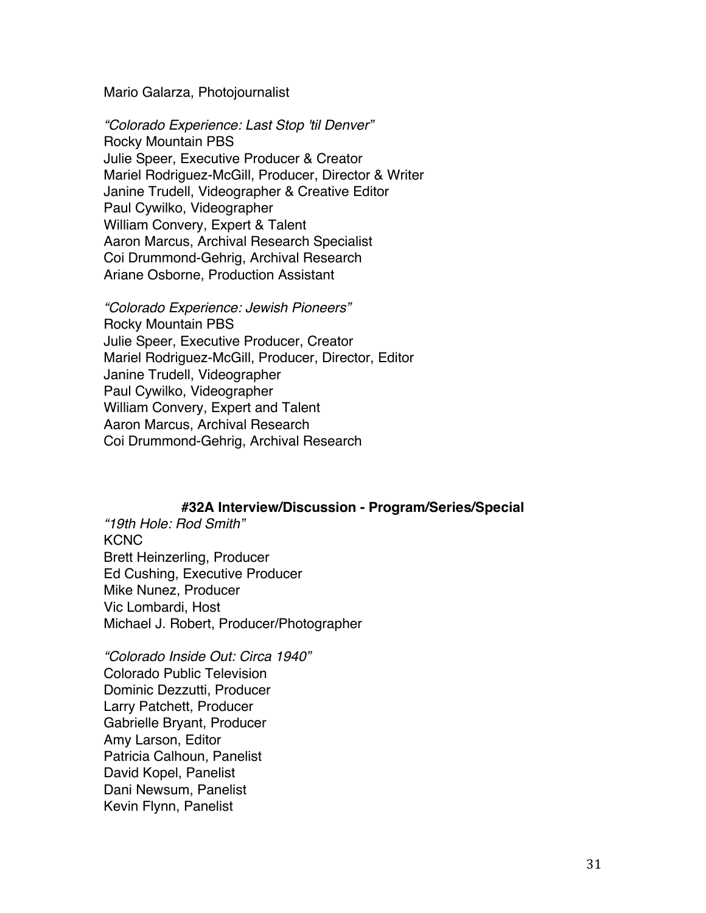#### Mario Galarza, Photojournalist

*"Colorado Experience: Last Stop 'til Denver"* Rocky Mountain PBS Julie Speer, Executive Producer & Creator Mariel Rodriguez-McGill, Producer, Director & Writer Janine Trudell, Videographer & Creative Editor Paul Cywilko, Videographer William Convery, Expert & Talent Aaron Marcus, Archival Research Specialist Coi Drummond-Gehrig, Archival Research Ariane Osborne, Production Assistant

*"Colorado Experience: Jewish Pioneers"* Rocky Mountain PBS Julie Speer, Executive Producer, Creator Mariel Rodriguez-McGill, Producer, Director, Editor Janine Trudell, Videographer Paul Cywilko, Videographer William Convery, Expert and Talent Aaron Marcus, Archival Research Coi Drummond-Gehrig, Archival Research

## **#32A Interview/Discussion - Program/Series/Special**

*"19th Hole: Rod Smith"* **KCNC** Brett Heinzerling, Producer Ed Cushing, Executive Producer Mike Nunez, Producer Vic Lombardi, Host Michael J. Robert, Producer/Photographer

*"Colorado Inside Out: Circa 1940"* Colorado Public Television Dominic Dezzutti, Producer Larry Patchett, Producer Gabrielle Bryant, Producer Amy Larson, Editor Patricia Calhoun, Panelist David Kopel, Panelist Dani Newsum, Panelist Kevin Flynn, Panelist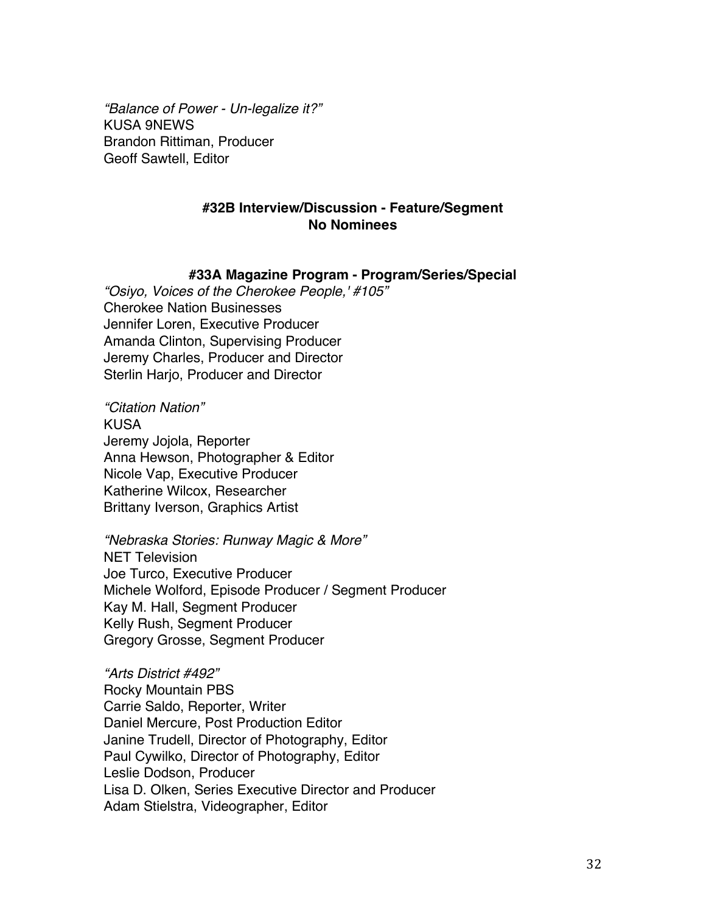*"Balance of Power - Un-legalize it?"* KUSA 9NEWS Brandon Rittiman, Producer Geoff Sawtell, Editor

# **#32B Interview/Discussion - Feature/Segment No Nominees**

#### **#33A Magazine Program - Program/Series/Special**

*"Osiyo, Voices of the Cherokee People,' #105"* Cherokee Nation Businesses Jennifer Loren, Executive Producer Amanda Clinton, Supervising Producer Jeremy Charles, Producer and Director Sterlin Harjo, Producer and Director

*"Citation Nation"* KUSA Jeremy Jojola, Reporter Anna Hewson, Photographer & Editor Nicole Vap, Executive Producer Katherine Wilcox, Researcher Brittany Iverson, Graphics Artist

*"Nebraska Stories: Runway Magic & More"*

NET Television Joe Turco, Executive Producer Michele Wolford, Episode Producer / Segment Producer Kay M. Hall, Segment Producer Kelly Rush, Segment Producer Gregory Grosse, Segment Producer

*"Arts District #492"* Rocky Mountain PBS Carrie Saldo, Reporter, Writer Daniel Mercure, Post Production Editor Janine Trudell, Director of Photography, Editor Paul Cywilko, Director of Photography, Editor Leslie Dodson, Producer Lisa D. Olken, Series Executive Director and Producer Adam Stielstra, Videographer, Editor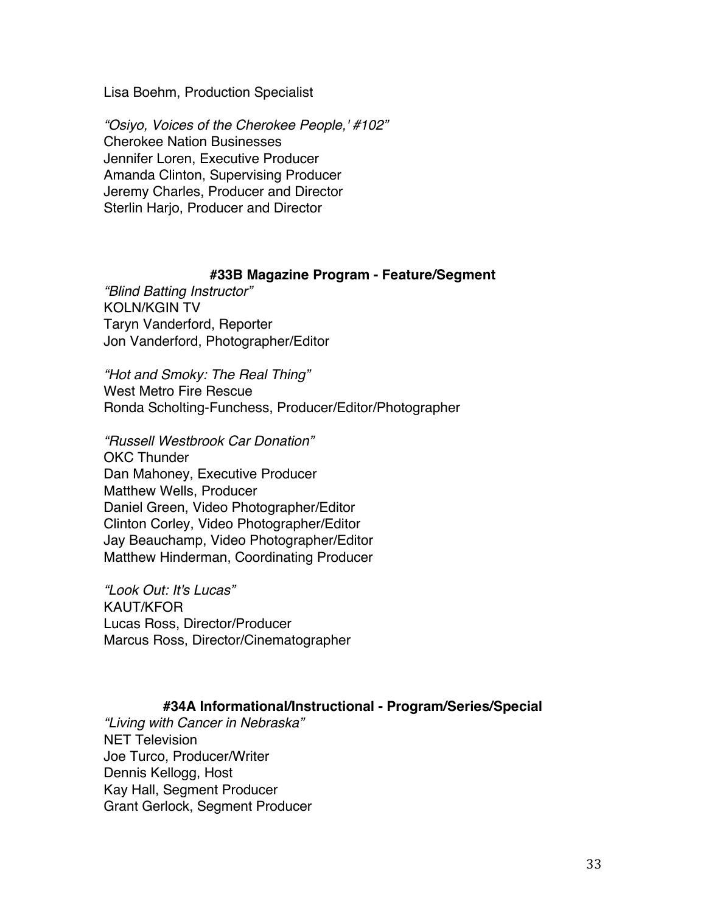Lisa Boehm, Production Specialist

*"Osiyo, Voices of the Cherokee People,' #102"* Cherokee Nation Businesses Jennifer Loren, Executive Producer Amanda Clinton, Supervising Producer Jeremy Charles, Producer and Director Sterlin Harjo, Producer and Director

## **#33B Magazine Program - Feature/Segment**

*"Blind Batting Instructor"* KOLN/KGIN TV Taryn Vanderford, Reporter Jon Vanderford, Photographer/Editor

*"Hot and Smoky: The Real Thing"* West Metro Fire Rescue Ronda Scholting-Funchess, Producer/Editor/Photographer

*"Russell Westbrook Car Donation"* OKC Thunder Dan Mahoney, Executive Producer Matthew Wells, Producer Daniel Green, Video Photographer/Editor Clinton Corley, Video Photographer/Editor Jay Beauchamp, Video Photographer/Editor Matthew Hinderman, Coordinating Producer

*"Look Out: It's Lucas"* KAUT/KFOR Lucas Ross, Director/Producer Marcus Ross, Director/Cinematographer

# **#34A Informational/Instructional - Program/Series/Special**

*"Living with Cancer in Nebraska"* NET Television Joe Turco, Producer/Writer Dennis Kellogg, Host Kay Hall, Segment Producer Grant Gerlock, Segment Producer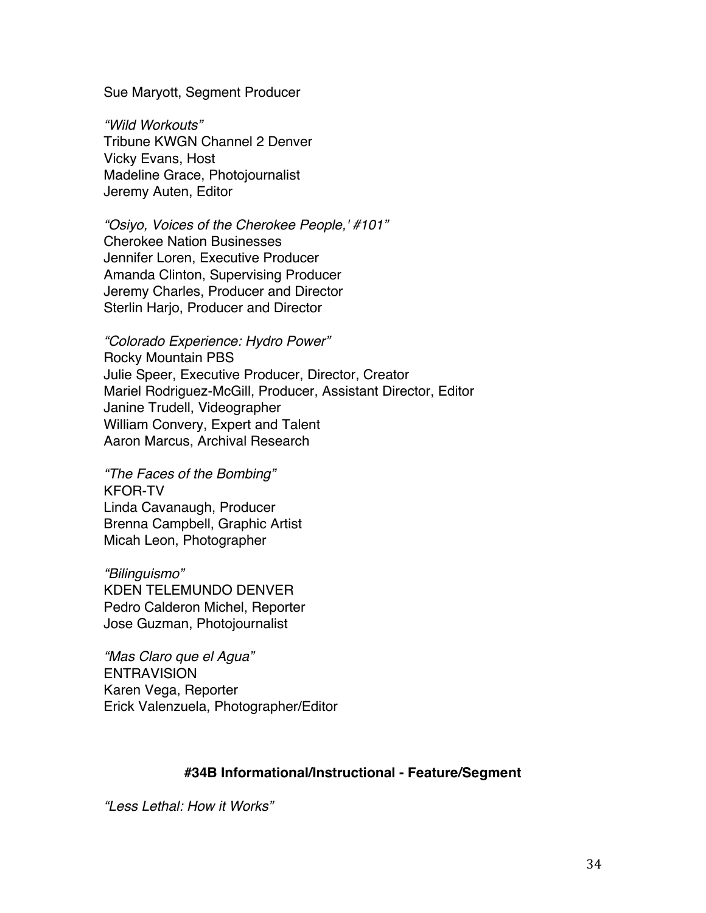Sue Maryott, Segment Producer

*"Wild Workouts"* Tribune KWGN Channel 2 Denver Vicky Evans, Host Madeline Grace, Photojournalist Jeremy Auten, Editor

*"Osiyo, Voices of the Cherokee People,' #101"* Cherokee Nation Businesses Jennifer Loren, Executive Producer Amanda Clinton, Supervising Producer Jeremy Charles, Producer and Director Sterlin Harjo, Producer and Director

*"Colorado Experience: Hydro Power"* Rocky Mountain PBS Julie Speer, Executive Producer, Director, Creator Mariel Rodriguez-McGill, Producer, Assistant Director, Editor Janine Trudell, Videographer William Convery, Expert and Talent Aaron Marcus, Archival Research

*"The Faces of the Bombing"* KFOR-TV Linda Cavanaugh, Producer Brenna Campbell, Graphic Artist Micah Leon, Photographer

*"Bilinguismo"* KDEN TELEMUNDO DENVER Pedro Calderon Michel, Reporter Jose Guzman, Photojournalist

*"Mas Claro que el Agua"* **ENTRAVISION** Karen Vega, Reporter Erick Valenzuela, Photographer/Editor

# **#34B Informational/Instructional - Feature/Segment**

*"Less Lethal: How it Works"*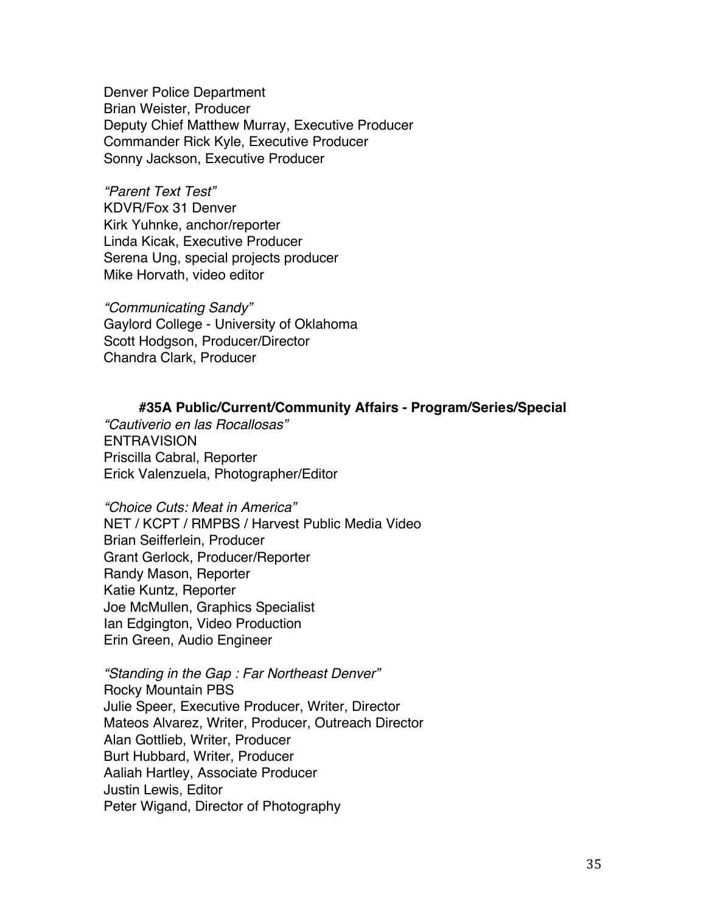Denver Police Department Brian Weister, Producer Deputy Chief Matthew Murray, Executive Producer Commander Rick Kyle, Executive Producer Sonny Jackson, Executive Producer

*"Parent Text Test"* KDVR/Fox 31 Denver Kirk Yuhnke, anchor/reporter Linda Kicak, Executive Producer Serena Ung, special projects producer Mike Horvath, video editor

*"Communicating Sandy"* Gaylord College - University of Oklahoma Scott Hodgson, Producer/Director Chandra Clark, Producer

## **#35A Public/Current/Community Affairs - Program/Series/Special**

*"Cautiverio en las Rocallosas"* **ENTRAVISION** Priscilla Cabral, Reporter Erick Valenzuela, Photographer/Editor

*"Choice Cuts: Meat in America"* NET / KCPT / RMPBS / Harvest Public Media Video Brian Seifferlein, Producer Grant Gerlock, Producer/Reporter Randy Mason, Reporter Katie Kuntz, Reporter Joe McMullen, Graphics Specialist Ian Edgington, Video Production Erin Green, Audio Engineer

*"Standing in the Gap : Far Northeast Denver"* Rocky Mountain PBS Julie Speer, Executive Producer, Writer, Director Mateos Alvarez, Writer, Producer, Outreach Director Alan Gottlieb, Writer, Producer Burt Hubbard, Writer, Producer Aaliah Hartley, Associate Producer Justin Lewis, Editor Peter Wigand, Director of Photography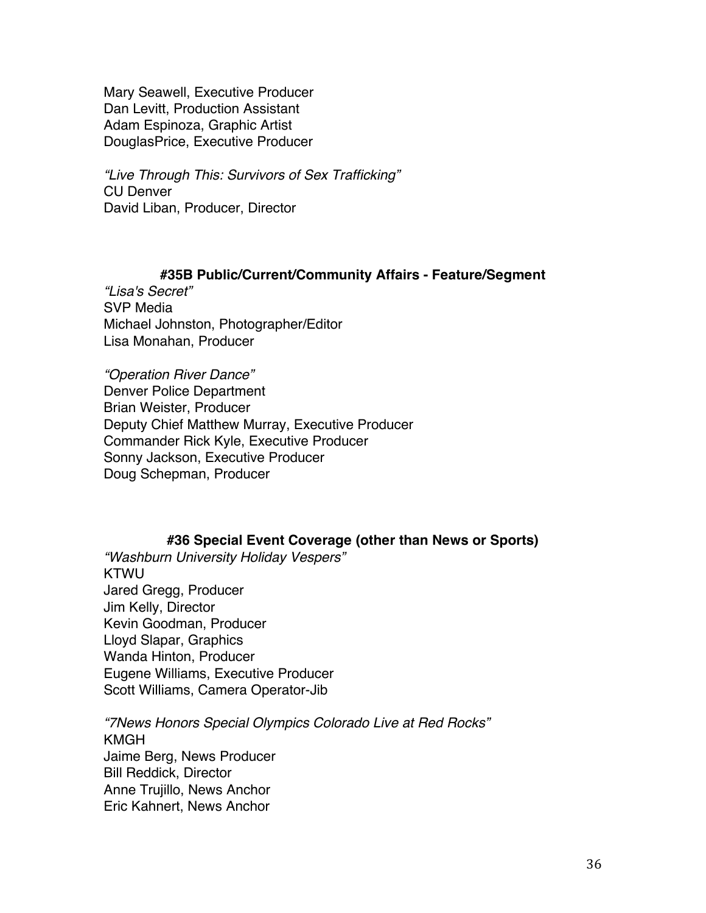Mary Seawell, Executive Producer Dan Levitt, Production Assistant Adam Espinoza, Graphic Artist DouglasPrice, Executive Producer

*"Live Through This: Survivors of Sex Trafficking"* CU Denver David Liban, Producer, Director

## **#35B Public/Current/Community Affairs - Feature/Segment**

*"Lisa's Secret"* SVP Media Michael Johnston, Photographer/Editor Lisa Monahan, Producer

*"Operation River Dance"* Denver Police Department Brian Weister, Producer Deputy Chief Matthew Murray, Executive Producer Commander Rick Kyle, Executive Producer Sonny Jackson, Executive Producer Doug Schepman, Producer

## **#36 Special Event Coverage (other than News or Sports)**

*"Washburn University Holiday Vespers"* KTWU Jared Gregg, Producer Jim Kelly, Director Kevin Goodman, Producer Lloyd Slapar, Graphics Wanda Hinton, Producer Eugene Williams, Executive Producer Scott Williams, Camera Operator-Jib

*"7News Honors Special Olympics Colorado Live at Red Rocks"* KMGH Jaime Berg, News Producer Bill Reddick, Director Anne Trujillo, News Anchor Eric Kahnert, News Anchor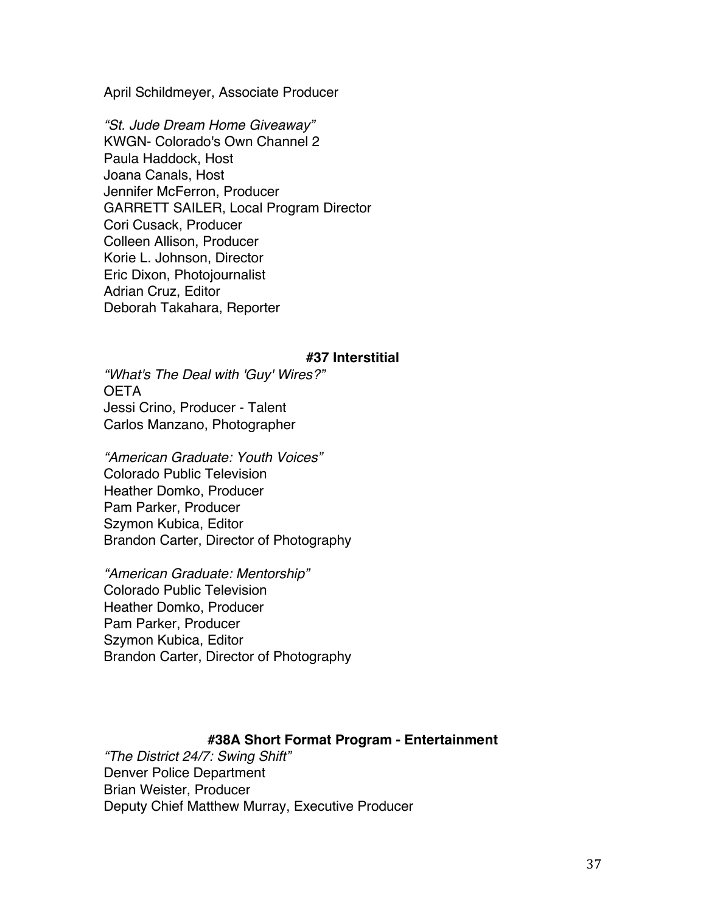April Schildmeyer, Associate Producer

*"St. Jude Dream Home Giveaway"* KWGN- Colorado's Own Channel 2 Paula Haddock, Host Joana Canals, Host Jennifer McFerron, Producer GARRETT SAILER, Local Program Director Cori Cusack, Producer Colleen Allison, Producer Korie L. Johnson, Director Eric Dixon, Photojournalist Adrian Cruz, Editor Deborah Takahara, Reporter

#### **#37 Interstitial**

*"What's The Deal with 'Guy' Wires?"* OETA Jessi Crino, Producer - Talent Carlos Manzano, Photographer

*"American Graduate: Youth Voices"* Colorado Public Television Heather Domko, Producer Pam Parker, Producer Szymon Kubica, Editor Brandon Carter, Director of Photography

*"American Graduate: Mentorship"* Colorado Public Television Heather Domko, Producer Pam Parker, Producer Szymon Kubica, Editor Brandon Carter, Director of Photography

## **#38A Short Format Program - Entertainment**

*"The District 24/7: Swing Shift"* Denver Police Department Brian Weister, Producer Deputy Chief Matthew Murray, Executive Producer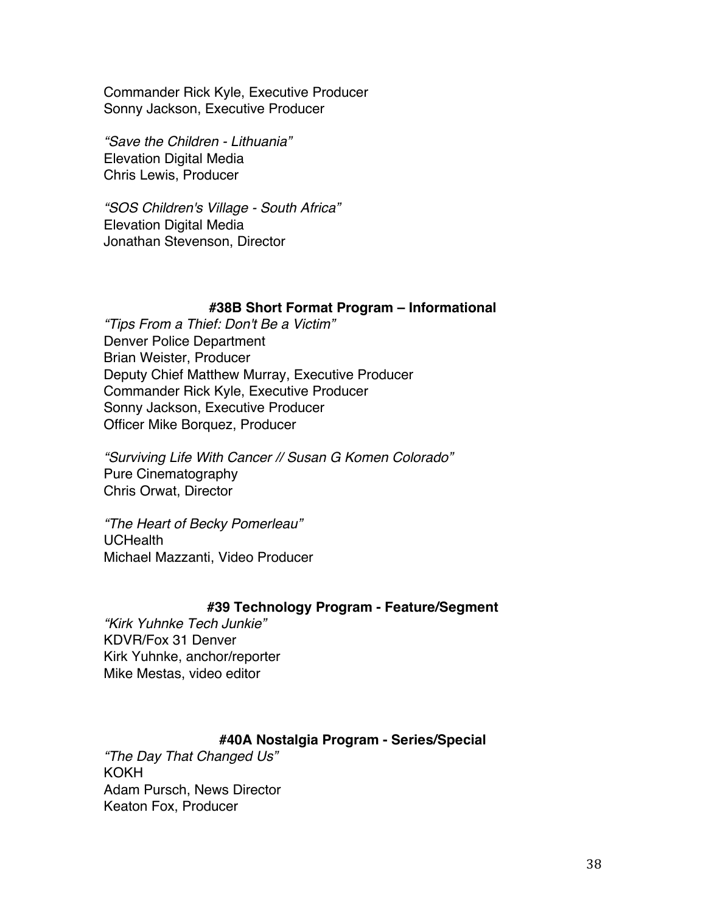Commander Rick Kyle, Executive Producer Sonny Jackson, Executive Producer

*"Save the Children - Lithuania"* Elevation Digital Media Chris Lewis, Producer

*"SOS Children's Village - South Africa"* Elevation Digital Media Jonathan Stevenson, Director

## **#38B Short Format Program – Informational**

*"Tips From a Thief: Don't Be a Victim"* Denver Police Department Brian Weister, Producer Deputy Chief Matthew Murray, Executive Producer Commander Rick Kyle, Executive Producer Sonny Jackson, Executive Producer Officer Mike Borquez, Producer

*"Surviving Life With Cancer // Susan G Komen Colorado"* Pure Cinematography Chris Orwat, Director

*"The Heart of Becky Pomerleau"* UCHealth Michael Mazzanti, Video Producer

## **#39 Technology Program - Feature/Segment**

*"Kirk Yuhnke Tech Junkie"* KDVR/Fox 31 Denver Kirk Yuhnke, anchor/reporter Mike Mestas, video editor

# **#40A Nostalgia Program - Series/Special**

*"The Day That Changed Us"* KOKH Adam Pursch, News Director Keaton Fox, Producer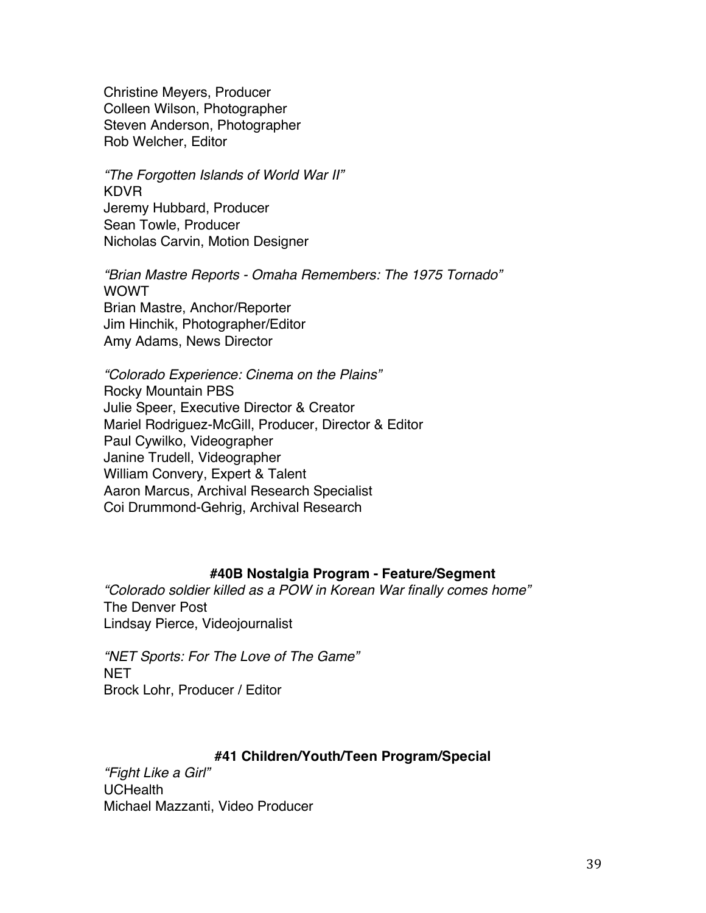Christine Meyers, Producer Colleen Wilson, Photographer Steven Anderson, Photographer Rob Welcher, Editor

*"The Forgotten Islands of World War II"* KDVR Jeremy Hubbard, Producer Sean Towle, Producer Nicholas Carvin, Motion Designer

*"Brian Mastre Reports - Omaha Remembers: The 1975 Tornado"* WOWT Brian Mastre, Anchor/Reporter Jim Hinchik, Photographer/Editor Amy Adams, News Director

*"Colorado Experience: Cinema on the Plains"* Rocky Mountain PBS Julie Speer, Executive Director & Creator Mariel Rodriguez-McGill, Producer, Director & Editor Paul Cywilko, Videographer Janine Trudell, Videographer William Convery, Expert & Talent Aaron Marcus, Archival Research Specialist Coi Drummond-Gehrig, Archival Research

# **#40B Nostalgia Program - Feature/Segment**

*"Colorado soldier killed as a POW in Korean War finally comes home"* The Denver Post Lindsay Pierce, Videojournalist

*"NET Sports: For The Love of The Game"* NET Brock Lohr, Producer / Editor

# **#41 Children/Youth/Teen Program/Special**

*"Fight Like a Girl"* **UCHealth** Michael Mazzanti, Video Producer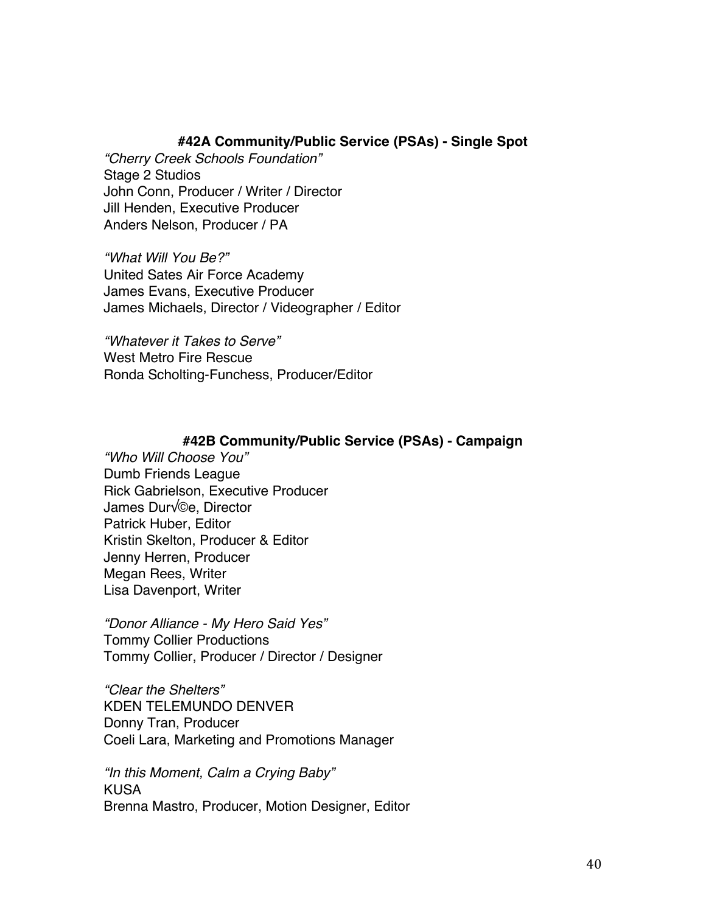# **#42A Community/Public Service (PSAs) - Single Spot**

*"Cherry Creek Schools Foundation"* Stage 2 Studios John Conn, Producer / Writer / Director Jill Henden, Executive Producer Anders Nelson, Producer / PA

*"What Will You Be?"* United Sates Air Force Academy James Evans, Executive Producer James Michaels, Director / Videographer / Editor

*"Whatever it Takes to Serve"* West Metro Fire Rescue Ronda Scholting-Funchess, Producer/Editor

## **#42B Community/Public Service (PSAs) - Campaign**

*"Who Will Choose You"* Dumb Friends League Rick Gabrielson, Executive Producer James Dur√©e, Director Patrick Huber, Editor Kristin Skelton, Producer & Editor Jenny Herren, Producer Megan Rees, Writer Lisa Davenport, Writer

*"Donor Alliance - My Hero Said Yes"* Tommy Collier Productions Tommy Collier, Producer / Director / Designer

*"Clear the Shelters"* KDEN TELEMUNDO DENVER Donny Tran, Producer Coeli Lara, Marketing and Promotions Manager

*"In this Moment, Calm a Crying Baby"* KUSA Brenna Mastro, Producer, Motion Designer, Editor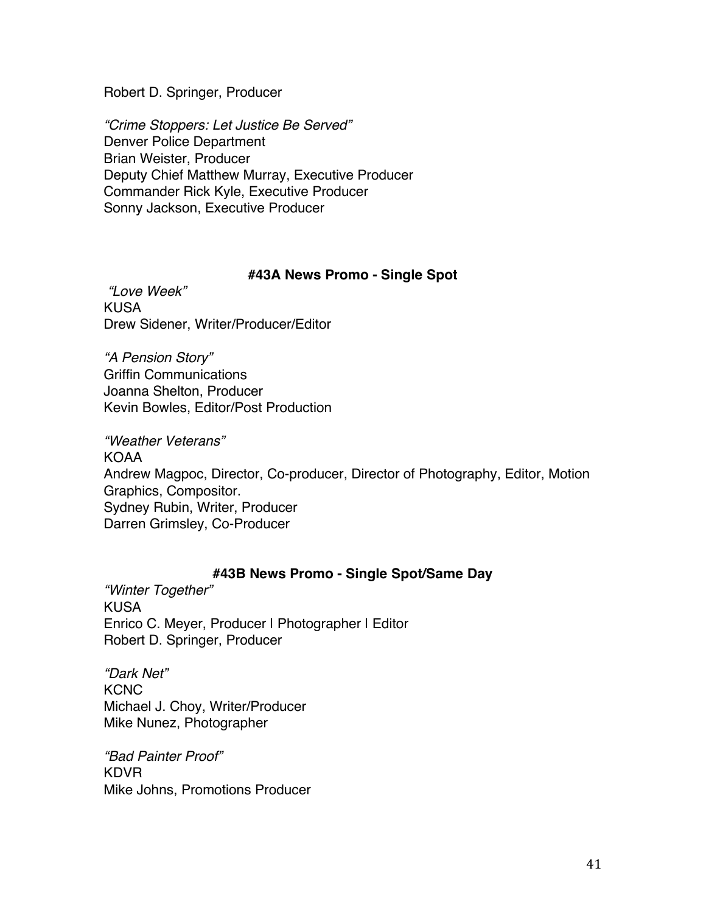Robert D. Springer, Producer

*"Crime Stoppers: Let Justice Be Served"* Denver Police Department Brian Weister, Producer Deputy Chief Matthew Murray, Executive Producer Commander Rick Kyle, Executive Producer Sonny Jackson, Executive Producer

## **#43A News Promo - Single Spot**

*"Love Week"* KUSA Drew Sidener, Writer/Producer/Editor

*"A Pension Story"* Griffin Communications Joanna Shelton, Producer Kevin Bowles, Editor/Post Production

*"Weather Veterans"* KOAA Andrew Magpoc, Director, Co-producer, Director of Photography, Editor, Motion Graphics, Compositor. Sydney Rubin, Writer, Producer Darren Grimsley, Co-Producer

# **#43B News Promo - Single Spot/Same Day**

*"Winter Together"* KUSA Enrico C. Meyer, Producer I Photographer I Editor Robert D. Springer, Producer

*"Dark Net"* **KCNC** Michael J. Choy, Writer/Producer Mike Nunez, Photographer

*"Bad Painter Proof"* KDVR Mike Johns, Promotions Producer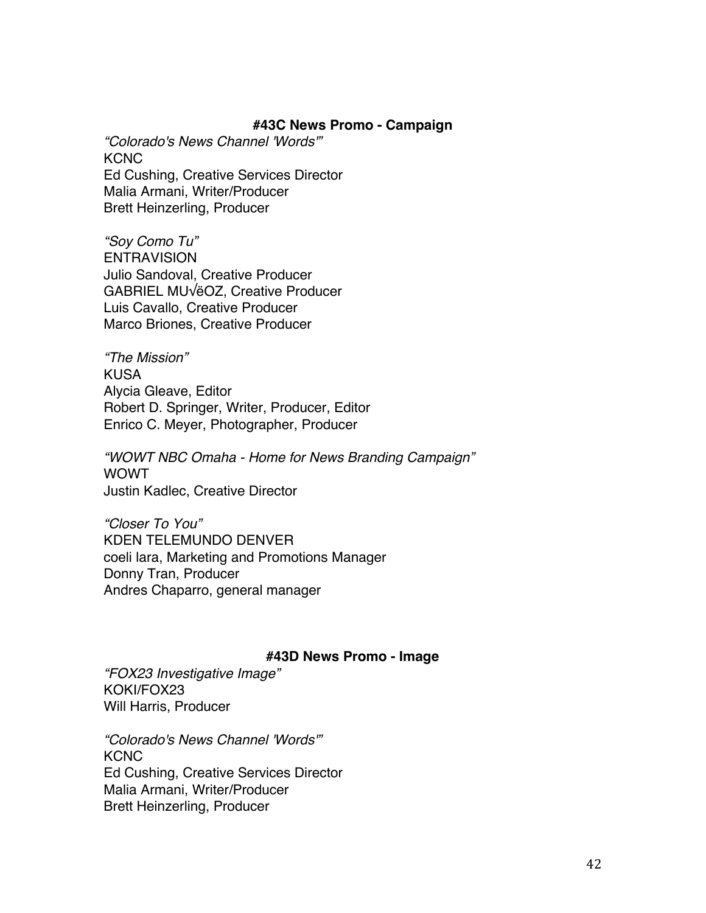### **#43C News Promo - Campaign**

*"Colorado's News Channel 'Words'"* **KCNC** Ed Cushing, Creative Services Director Malia Armani, Writer/Producer Brett Heinzerling, Producer

*"Soy Como Tu"* **ENTRAVISION** Julio Sandoval, Creative Producer GABRIEL MU√ëOZ, Creative Producer Luis Cavallo, Creative Producer Marco Briones, Creative Producer

*"The Mission"* KUSA Alycia Gleave, Editor Robert D. Springer, Writer, Producer, Editor Enrico C. Meyer, Photographer, Producer

*"WOWT NBC Omaha - Home for News Branding Campaign"* WOWT Justin Kadlec, Creative Director

*"Closer To You"* KDEN TELEMUNDO DENVER coeli lara, Marketing and Promotions Manager Donny Tran, Producer Andres Chaparro, general manager

#### **#43D News Promo - Image**

*"FOX23 Investigative Image"* KOKI/FOX23 Will Harris, Producer

*"Colorado's News Channel 'Words'"* **KCNC** Ed Cushing, Creative Services Director Malia Armani, Writer/Producer Brett Heinzerling, Producer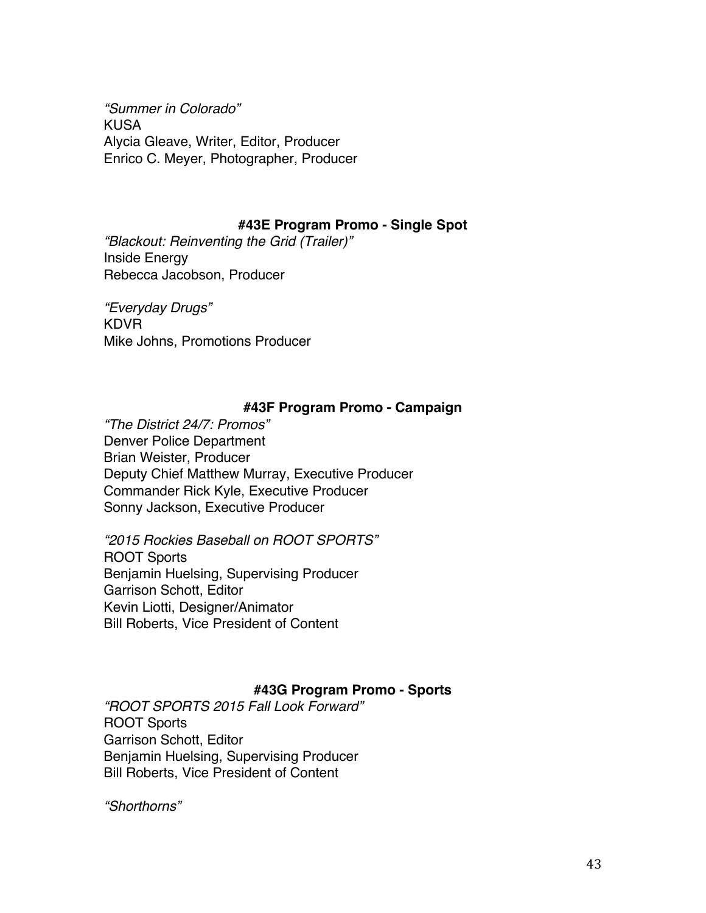*"Summer in Colorado"* KUSA Alycia Gleave, Writer, Editor, Producer Enrico C. Meyer, Photographer, Producer

## **#43E Program Promo - Single Spot**

*"Blackout: Reinventing the Grid (Trailer)"* Inside Energy Rebecca Jacobson, Producer

*"Everyday Drugs"* KDVR Mike Johns, Promotions Producer

# **#43F Program Promo - Campaign**

*"The District 24/7: Promos"* Denver Police Department Brian Weister, Producer Deputy Chief Matthew Murray, Executive Producer Commander Rick Kyle, Executive Producer Sonny Jackson, Executive Producer

*"2015 Rockies Baseball on ROOT SPORTS"* ROOT Sports Benjamin Huelsing, Supervising Producer Garrison Schott, Editor Kevin Liotti, Designer/Animator Bill Roberts, Vice President of Content

# **#43G Program Promo - Sports**

*"ROOT SPORTS 2015 Fall Look Forward"* ROOT Sports Garrison Schott, Editor Benjamin Huelsing, Supervising Producer Bill Roberts, Vice President of Content

*"Shorthorns"*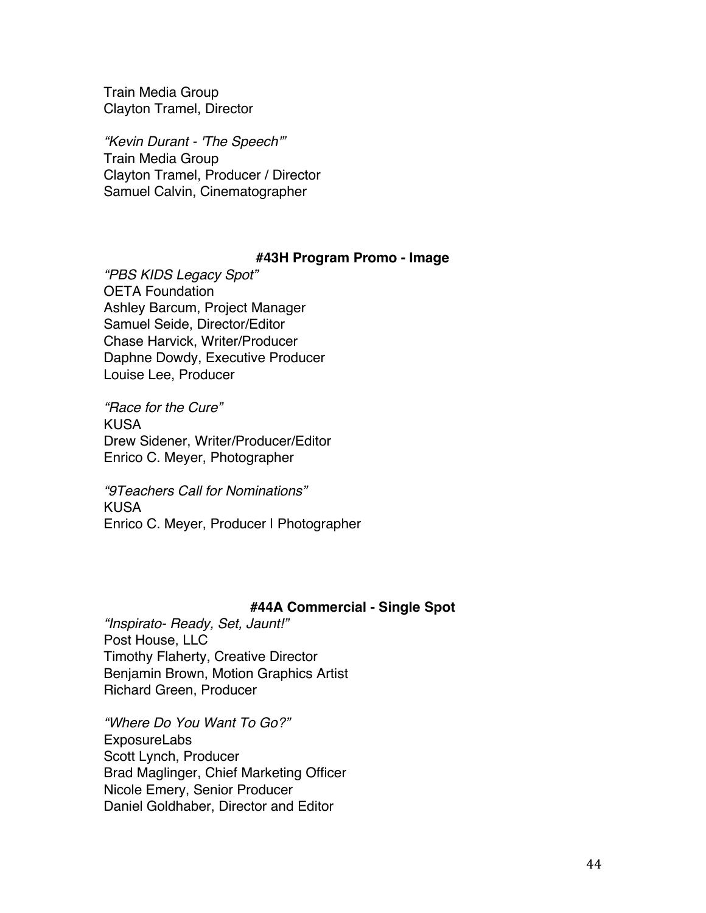Train Media Group Clayton Tramel, Director

*"Kevin Durant - 'The Speech'"* Train Media Group Clayton Tramel, Producer / Director Samuel Calvin, Cinematographer

### **#43H Program Promo - Image**

*"PBS KIDS Legacy Spot"* OETA Foundation Ashley Barcum, Project Manager Samuel Seide, Director/Editor Chase Harvick, Writer/Producer Daphne Dowdy, Executive Producer Louise Lee, Producer

*"Race for the Cure"* KUSA Drew Sidener, Writer/Producer/Editor Enrico C. Meyer, Photographer

*"9Teachers Call for Nominations"* KUSA Enrico C. Meyer, Producer | Photographer

## **#44A Commercial - Single Spot**

*"Inspirato- Ready, Set, Jaunt!"* Post House, LLC Timothy Flaherty, Creative Director Benjamin Brown, Motion Graphics Artist Richard Green, Producer

*"Where Do You Want To Go?"* ExposureLabs Scott Lynch, Producer Brad Maglinger, Chief Marketing Officer Nicole Emery, Senior Producer Daniel Goldhaber, Director and Editor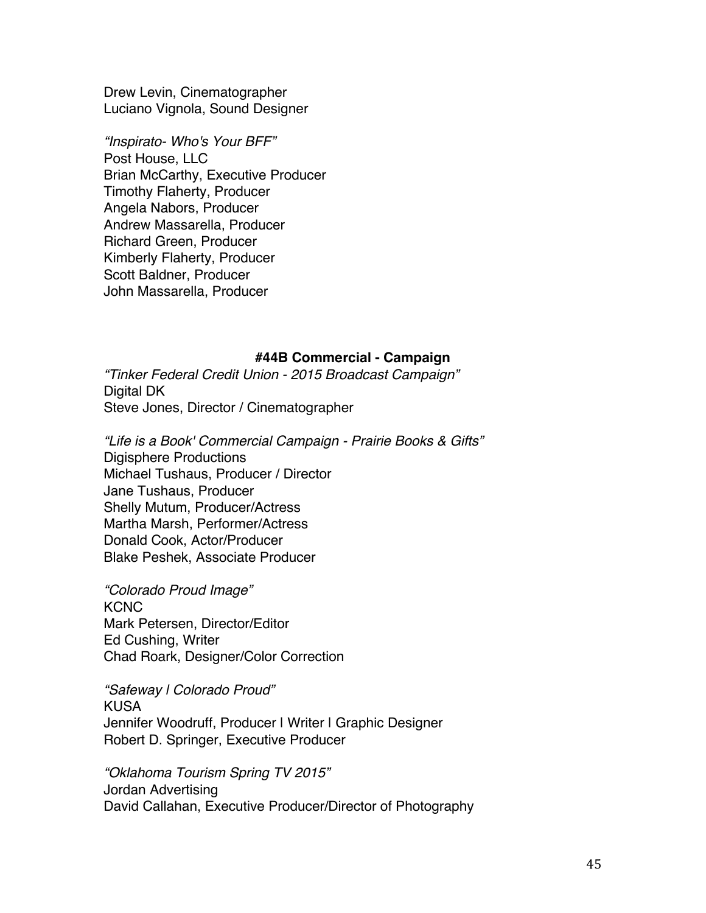Drew Levin, Cinematographer Luciano Vignola, Sound Designer

*"Inspirato- Who's Your BFF"* Post House, LLC Brian McCarthy, Executive Producer Timothy Flaherty, Producer Angela Nabors, Producer Andrew Massarella, Producer Richard Green, Producer Kimberly Flaherty, Producer Scott Baldner, Producer John Massarella, Producer

#### **#44B Commercial - Campaign**

*"Tinker Federal Credit Union - 2015 Broadcast Campaign"* Digital DK Steve Jones, Director / Cinematographer

*"Life is a Book' Commercial Campaign - Prairie Books & Gifts"* Digisphere Productions Michael Tushaus, Producer / Director Jane Tushaus, Producer Shelly Mutum, Producer/Actress Martha Marsh, Performer/Actress Donald Cook, Actor/Producer Blake Peshek, Associate Producer

*"Colorado Proud Image"* KCNC Mark Petersen, Director/Editor Ed Cushing, Writer Chad Roark, Designer/Color Correction

*"Safeway | Colorado Proud"* KUSA Jennifer Woodruff, Producer I Writer I Graphic Designer Robert D. Springer, Executive Producer

*"Oklahoma Tourism Spring TV 2015"* Jordan Advertising David Callahan, Executive Producer/Director of Photography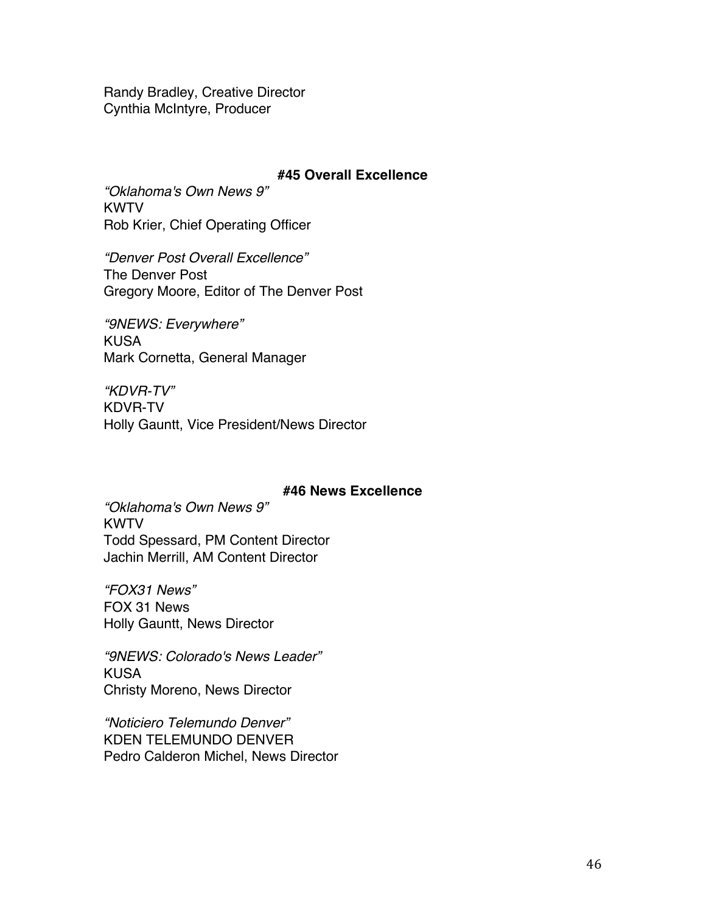Randy Bradley, Creative Director Cynthia McIntyre, Producer

## **#45 Overall Excellence**

*"Oklahoma's Own News 9"* **KWTV** Rob Krier, Chief Operating Officer

*"Denver Post Overall Excellence"* The Denver Post Gregory Moore, Editor of The Denver Post

*"9NEWS: Everywhere"* KUSA Mark Cornetta, General Manager

*"KDVR-TV"* KDVR-TV Holly Gauntt, Vice President/News Director

## **#46 News Excellence**

*"Oklahoma's Own News 9"* KWTV Todd Spessard, PM Content Director Jachin Merrill, AM Content Director

*"FOX31 News"* FOX 31 News Holly Gauntt, News Director

*"9NEWS: Colorado's News Leader"* KUSA Christy Moreno, News Director

*"Noticiero Telemundo Denver"* KDEN TELEMUNDO DENVER Pedro Calderon Michel, News Director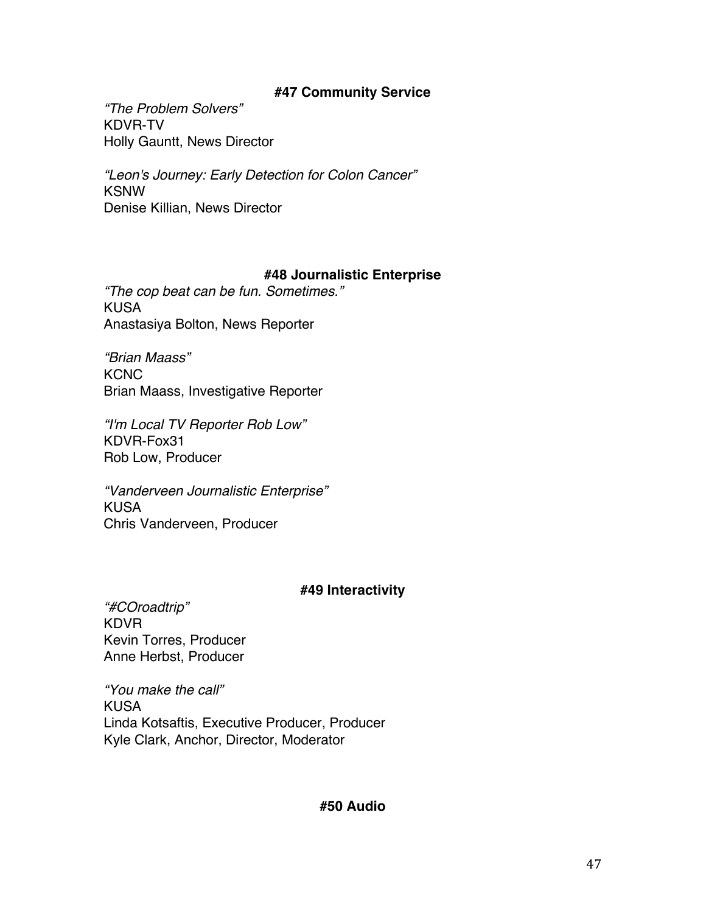# **#47 Community Service**

*"The Problem Solvers"* KDVR-TV Holly Gauntt, News Director

*"Leon's Journey: Early Detection for Colon Cancer"* KSNW Denise Killian, News Director

# **#48 Journalistic Enterprise**

*"The cop beat can be fun. Sometimes."* KUSA Anastasiya Bolton, News Reporter

*"Brian Maass"* **KCNC** Brian Maass, Investigative Reporter

*"I'm Local TV Reporter Rob Low"* KDVR-Fox31 Rob Low, Producer

*"Vanderveen Journalistic Enterprise"* KUSA Chris Vanderveen, Producer

# **#49 Interactivity**

*"#COroadtrip"* KDVR Kevin Torres, Producer Anne Herbst, Producer

*"You make the call"* KUSA Linda Kotsaftis, Executive Producer, Producer Kyle Clark, Anchor, Director, Moderator

# **#50 Audio**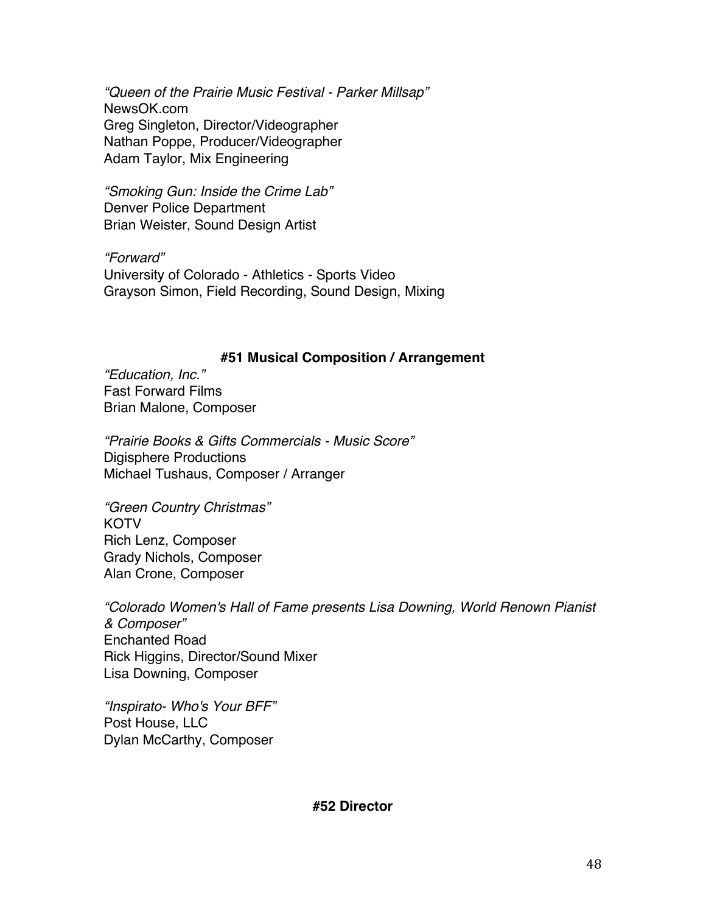*"Queen of the Prairie Music Festival - Parker Millsap"* NewsOK.com Greg Singleton, Director/Videographer Nathan Poppe, Producer/Videographer Adam Taylor, Mix Engineering

*"Smoking Gun: Inside the Crime Lab"* Denver Police Department Brian Weister, Sound Design Artist

*"Forward"* University of Colorado - Athletics - Sports Video Grayson Simon, Field Recording, Sound Design, Mixing

## **#51 Musical Composition / Arrangement**

*"Education, Inc."* Fast Forward Films Brian Malone, Composer

*"Prairie Books & Gifts Commercials - Music Score"* Digisphere Productions Michael Tushaus, Composer / Arranger

*"Green Country Christmas"* KOTV Rich Lenz, Composer Grady Nichols, Composer Alan Crone, Composer

*"Colorado Women's Hall of Fame presents Lisa Downing, World Renown Pianist & Composer"* Enchanted Road Rick Higgins, Director/Sound Mixer Lisa Downing, Composer

*"Inspirato- Who's Your BFF"* Post House, LLC Dylan McCarthy, Composer

**#52 Director**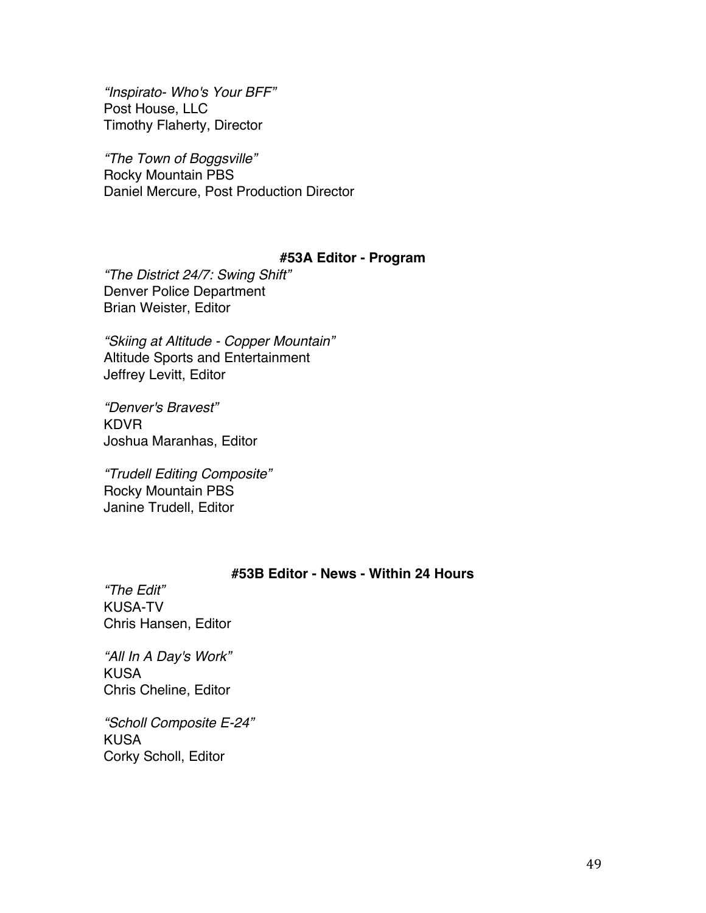*"Inspirato- Who's Your BFF"* Post House, LLC Timothy Flaherty, Director

*"The Town of Boggsville"* Rocky Mountain PBS Daniel Mercure, Post Production Director

# **#53A Editor - Program**

*"The District 24/7: Swing Shift"* Denver Police Department Brian Weister, Editor

*"Skiing at Altitude - Copper Mountain"* Altitude Sports and Entertainment Jeffrey Levitt, Editor

*"Denver's Bravest"* KDVR Joshua Maranhas, Editor

*"Trudell Editing Composite"* Rocky Mountain PBS Janine Trudell, Editor

# **#53B Editor - News - Within 24 Hours**

*"The Edit"* KUSA-TV Chris Hansen, Editor

*"All In A Day's Work"* KUSA Chris Cheline, Editor

*"Scholl Composite E-24"* **KUSA** Corky Scholl, Editor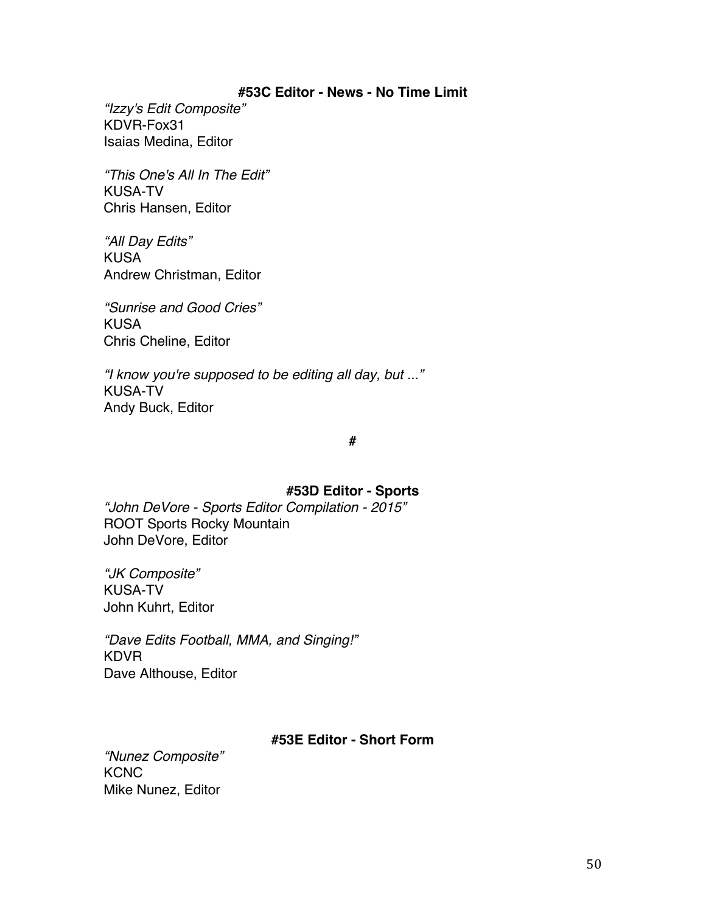### **#53C Editor - News - No Time Limit**

*"Izzy's Edit Composite"* KDVR-Fox31 Isaias Medina, Editor

*"This One's All In The Edit"* KUSA-TV Chris Hansen, Editor

*"All Day Edits"* KUSA Andrew Christman, Editor

*"Sunrise and Good Cries"* KUSA Chris Cheline, Editor

*"I know you're supposed to be editing all day, but ..."* KUSA-TV Andy Buck, Editor

#### **#**

## **#53D Editor - Sports**

*"John DeVore - Sports Editor Compilation - 2015"* ROOT Sports Rocky Mountain John DeVore, Editor

*"JK Composite"* KUSA-TV John Kuhrt, Editor

*"Dave Edits Football, MMA, and Singing!"* KDVR Dave Althouse, Editor

# **#53E Editor - Short Form**

*"Nunez Composite"* **KCNC** Mike Nunez, Editor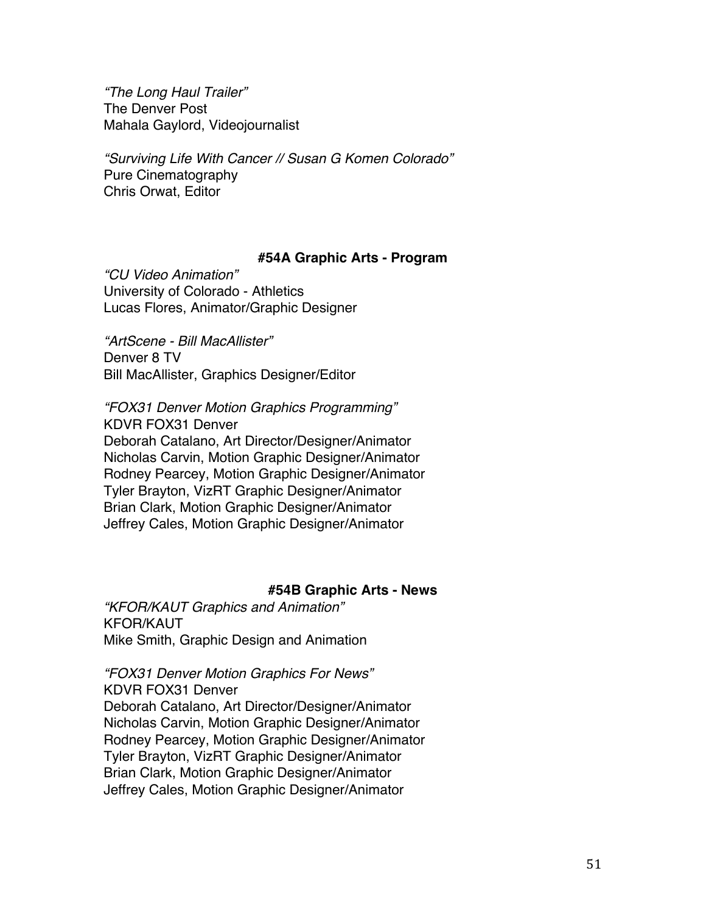*"The Long Haul Trailer"* The Denver Post Mahala Gaylord, Videojournalist

*"Surviving Life With Cancer // Susan G Komen Colorado"* Pure Cinematography Chris Orwat, Editor

## **#54A Graphic Arts - Program**

*"CU Video Animation"* University of Colorado - Athletics Lucas Flores, Animator/Graphic Designer

*"ArtScene - Bill MacAllister"* Denver 8 TV Bill MacAllister, Graphics Designer/Editor

*"FOX31 Denver Motion Graphics Programming"* KDVR FOX31 Denver Deborah Catalano, Art Director/Designer/Animator Nicholas Carvin, Motion Graphic Designer/Animator Rodney Pearcey, Motion Graphic Designer/Animator Tyler Brayton, VizRT Graphic Designer/Animator Brian Clark, Motion Graphic Designer/Animator Jeffrey Cales, Motion Graphic Designer/Animator

## **#54B Graphic Arts - News**

*"KFOR/KAUT Graphics and Animation"* KFOR/KAUT Mike Smith, Graphic Design and Animation

## *"FOX31 Denver Motion Graphics For News"*

KDVR FOX31 Denver Deborah Catalano, Art Director/Designer/Animator Nicholas Carvin, Motion Graphic Designer/Animator Rodney Pearcey, Motion Graphic Designer/Animator Tyler Brayton, VizRT Graphic Designer/Animator Brian Clark, Motion Graphic Designer/Animator Jeffrey Cales, Motion Graphic Designer/Animator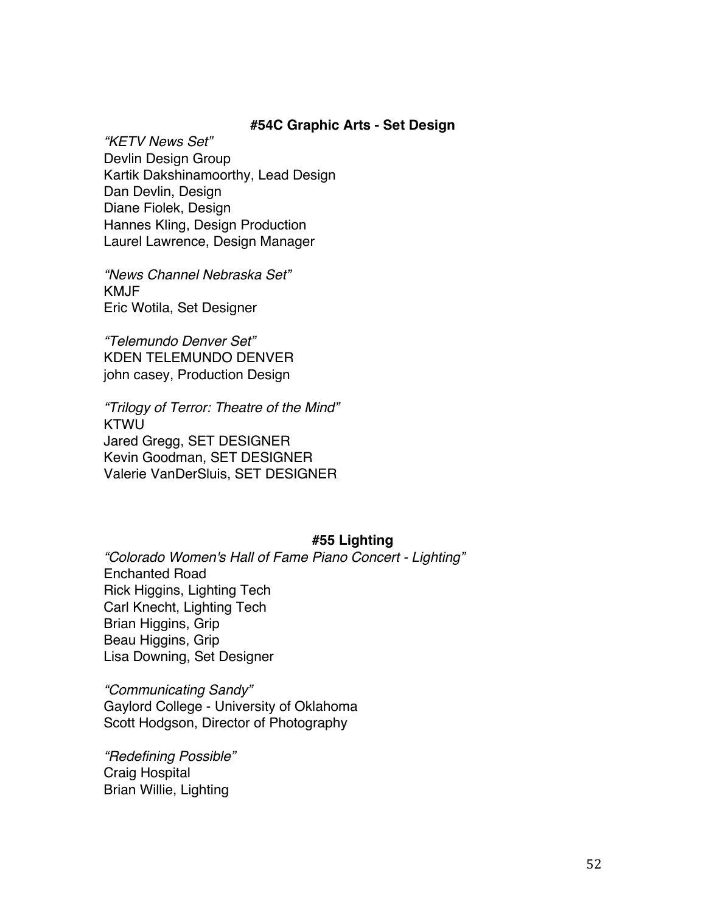### **#54C Graphic Arts - Set Design**

*"KETV News Set"* Devlin Design Group Kartik Dakshinamoorthy, Lead Design Dan Devlin, Design Diane Fiolek, Design Hannes Kling, Design Production Laurel Lawrence, Design Manager

*"News Channel Nebraska Set"* KMJF Eric Wotila, Set Designer

*"Telemundo Denver Set"* KDEN TELEMUNDO DENVER john casey, Production Design

*"Trilogy of Terror: Theatre of the Mind"* KTWU Jared Gregg, SET DESIGNER Kevin Goodman, SET DESIGNER Valerie VanDerSluis, SET DESIGNER

## **#55 Lighting**

*"Colorado Women's Hall of Fame Piano Concert - Lighting"* Enchanted Road Rick Higgins, Lighting Tech Carl Knecht, Lighting Tech Brian Higgins, Grip Beau Higgins, Grip Lisa Downing, Set Designer

*"Communicating Sandy"* Gaylord College - University of Oklahoma Scott Hodgson, Director of Photography

*"Redefining Possible"* Craig Hospital Brian Willie, Lighting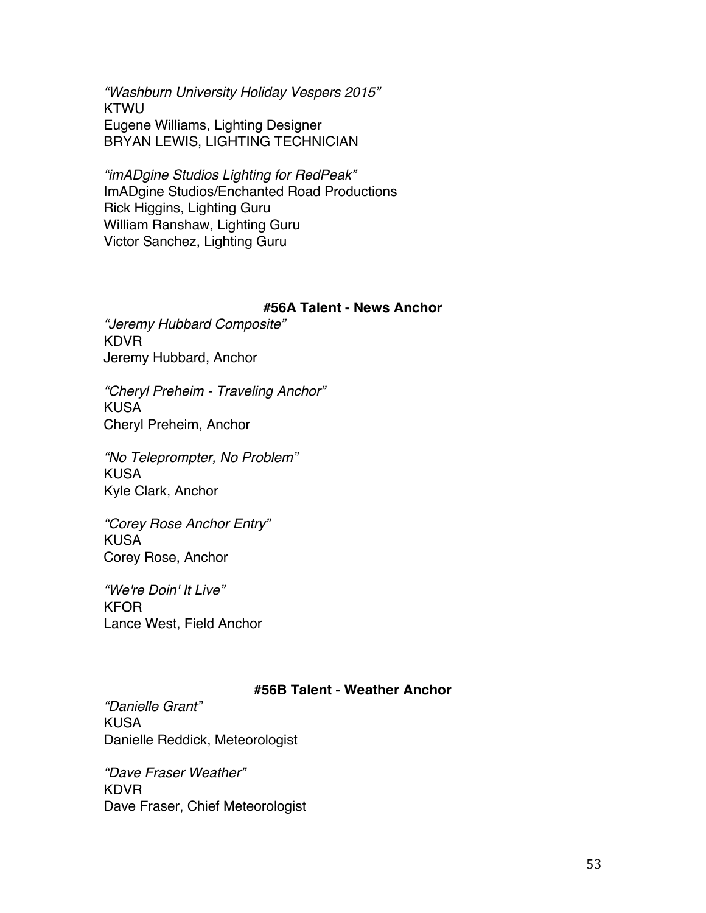*"Washburn University Holiday Vespers 2015"* **KTWU** Eugene Williams, Lighting Designer BRYAN LEWIS, LIGHTING TECHNICIAN

*"imADgine Studios Lighting for RedPeak"* ImADgine Studios/Enchanted Road Productions Rick Higgins, Lighting Guru William Ranshaw, Lighting Guru Victor Sanchez, Lighting Guru

## **#56A Talent - News Anchor**

*"Jeremy Hubbard Composite"* KDVR Jeremy Hubbard, Anchor

*"Cheryl Preheim - Traveling Anchor"* KUSA Cheryl Preheim, Anchor

*"No Teleprompter, No Problem"* KUSA Kyle Clark, Anchor

*"Corey Rose Anchor Entry"* KUSA Corey Rose, Anchor

*"We're Doin' It Live"* KFOR Lance West, Field Anchor

## **#56B Talent - Weather Anchor**

*"Danielle Grant"* KUSA Danielle Reddick, Meteorologist

*"Dave Fraser Weather"* KDVR Dave Fraser, Chief Meteorologist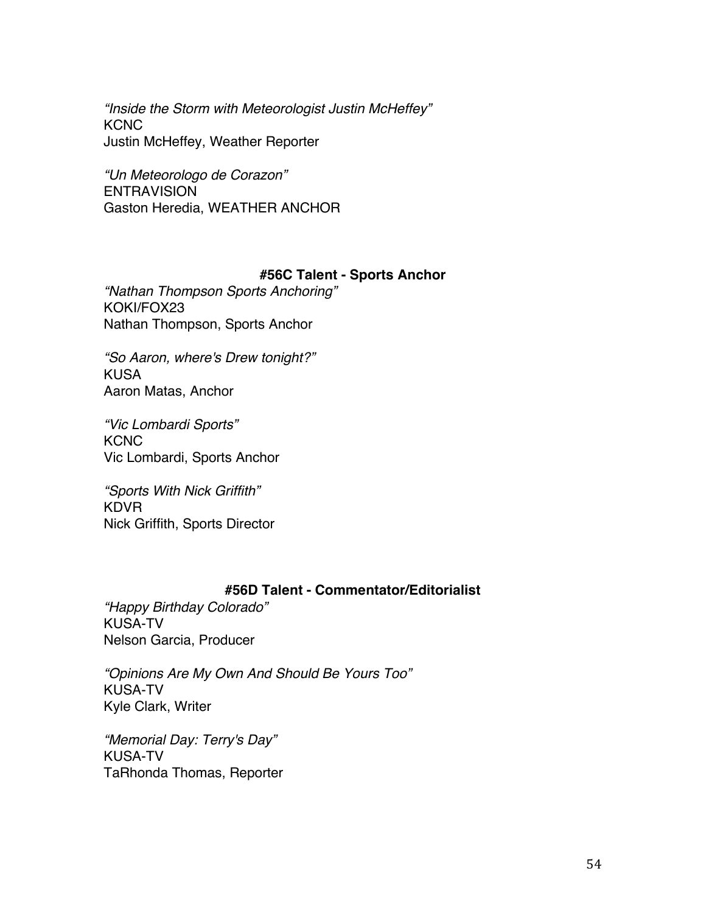*"Inside the Storm with Meteorologist Justin McHeffey"* **KCNC** Justin McHeffey, Weather Reporter

*"Un Meteorologo de Corazon"* **ENTRAVISION** Gaston Heredia, WEATHER ANCHOR

# **#56C Talent - Sports Anchor**

*"Nathan Thompson Sports Anchoring"* KOKI/FOX23 Nathan Thompson, Sports Anchor

*"So Aaron, where's Drew tonight?"* KUSA Aaron Matas, Anchor

*"Vic Lombardi Sports"* **KCNC** Vic Lombardi, Sports Anchor

*"Sports With Nick Griffith"* KDVR Nick Griffith, Sports Director

# **#56D Talent - Commentator/Editorialist**

*"Happy Birthday Colorado"* KUSA-TV Nelson Garcia, Producer

*"Opinions Are My Own And Should Be Yours Too"* KUSA-TV Kyle Clark, Writer

*"Memorial Day: Terry's Day"* KUSA-TV TaRhonda Thomas, Reporter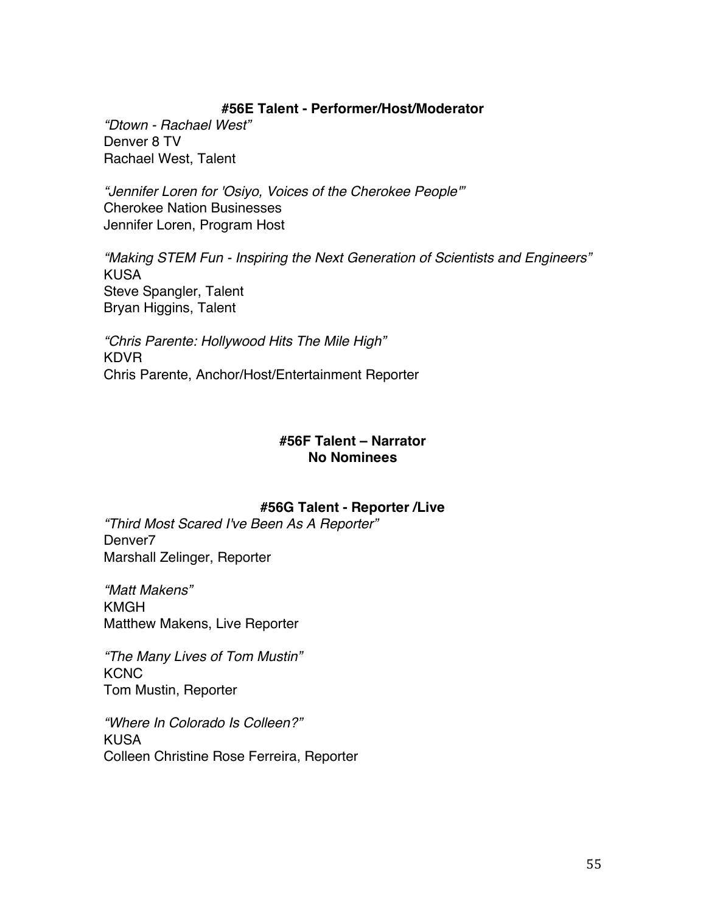# **#56E Talent - Performer/Host/Moderator**

*"Dtown - Rachael West"* Denver 8 TV Rachael West, Talent

*"Jennifer Loren for 'Osiyo, Voices of the Cherokee People'"* Cherokee Nation Businesses Jennifer Loren, Program Host

*"Making STEM Fun - Inspiring the Next Generation of Scientists and Engineers"* KUSA Steve Spangler, Talent Bryan Higgins, Talent

*"Chris Parente: Hollywood Hits The Mile High"* KDVR Chris Parente, Anchor/Host/Entertainment Reporter

# **#56F Talent – Narrator No Nominees**

# **#56G Talent - Reporter /Live**

*"Third Most Scared I've Been As A Reporter"* Denver7 Marshall Zelinger, Reporter

*"Matt Makens"* KMGH Matthew Makens, Live Reporter

*"The Many Lives of Tom Mustin"* **KCNC** Tom Mustin, Reporter

*"Where In Colorado Is Colleen?"* KUSA Colleen Christine Rose Ferreira, Reporter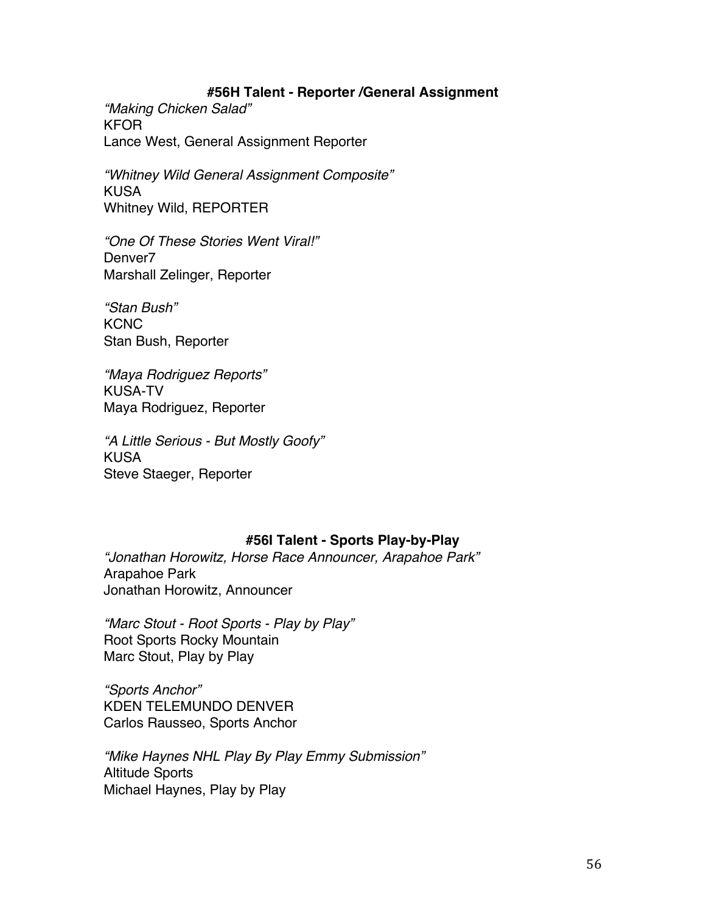## **#56H Talent - Reporter /General Assignment**

*"Making Chicken Salad"* KFOR Lance West, General Assignment Reporter

*"Whitney Wild General Assignment Composite"* KUSA Whitney Wild, REPORTER

*"One Of These Stories Went Viral!"* Denver7 Marshall Zelinger, Reporter

*"Stan Bush"* **KCNC** Stan Bush, Reporter

*"Maya Rodriguez Reports"* KUSA-TV Maya Rodriguez, Reporter

*"A Little Serious - But Mostly Goofy"* KUSA Steve Staeger, Reporter

# **#56I Talent - Sports Play-by-Play**

*"Jonathan Horowitz, Horse Race Announcer, Arapahoe Park"* Arapahoe Park Jonathan Horowitz, Announcer

*"Marc Stout - Root Sports - Play by Play"* Root Sports Rocky Mountain Marc Stout, Play by Play

*"Sports Anchor"* KDEN TELEMUNDO DENVER Carlos Rausseo, Sports Anchor

*"Mike Haynes NHL Play By Play Emmy Submission"* Altitude Sports Michael Haynes, Play by Play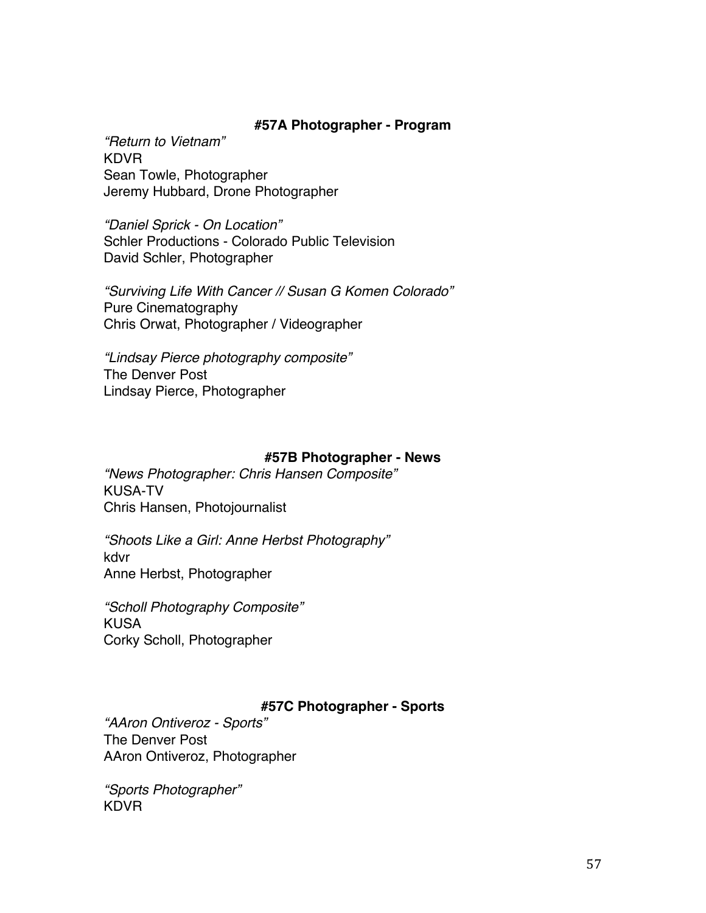## **#57A Photographer - Program**

*"Return to Vietnam"* KDVR Sean Towle, Photographer Jeremy Hubbard, Drone Photographer

*"Daniel Sprick - On Location"* Schler Productions - Colorado Public Television David Schler, Photographer

*"Surviving Life With Cancer // Susan G Komen Colorado"* Pure Cinematography Chris Orwat, Photographer / Videographer

*"Lindsay Pierce photography composite"* The Denver Post Lindsay Pierce, Photographer

## **#57B Photographer - News**

*"News Photographer: Chris Hansen Composite"* KUSA-TV Chris Hansen, Photojournalist

*"Shoots Like a Girl: Anne Herbst Photography"* kdvr Anne Herbst, Photographer

*"Scholl Photography Composite"* KUSA Corky Scholl, Photographer

# **#57C Photographer - Sports**

*"AAron Ontiveroz - Sports"* The Denver Post AAron Ontiveroz, Photographer

*"Sports Photographer"* KDVR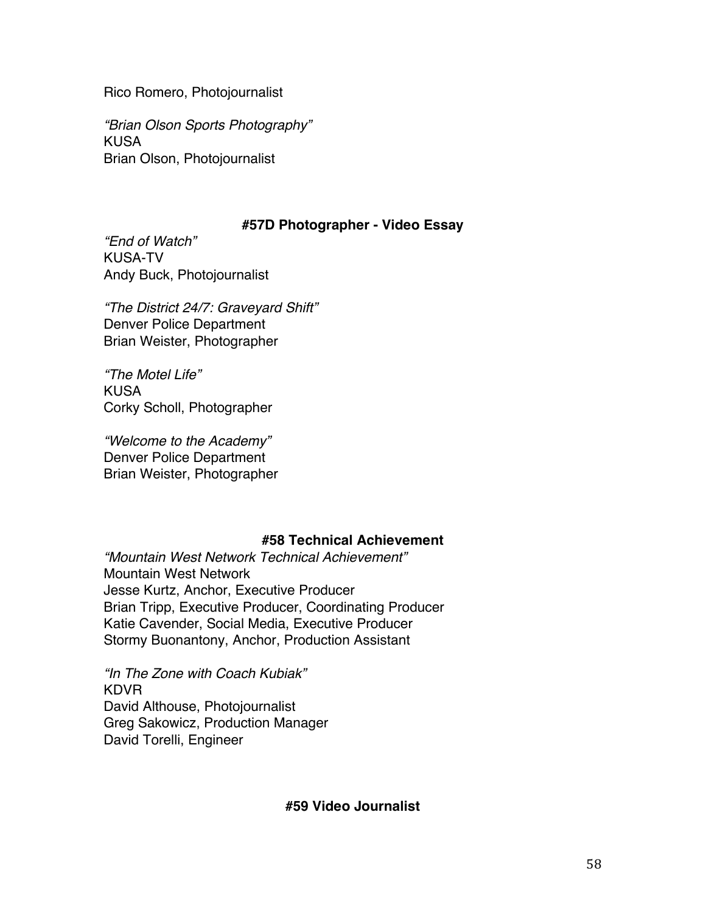Rico Romero, Photojournalist

*"Brian Olson Sports Photography"* KUSA Brian Olson, Photojournalist

# **#57D Photographer - Video Essay**

*"End of Watch"* KUSA-TV Andy Buck, Photojournalist

*"The District 24/7: Graveyard Shift"* Denver Police Department Brian Weister, Photographer

*"The Motel Life"* KUSA Corky Scholl, Photographer

*"Welcome to the Academy"* Denver Police Department Brian Weister, Photographer

# **#58 Technical Achievement**

*"Mountain West Network Technical Achievement"* Mountain West Network Jesse Kurtz, Anchor, Executive Producer Brian Tripp, Executive Producer, Coordinating Producer Katie Cavender, Social Media, Executive Producer Stormy Buonantony, Anchor, Production Assistant

*"In The Zone with Coach Kubiak"* KDVR David Althouse, Photojournalist Greg Sakowicz, Production Manager David Torelli, Engineer

## **#59 Video Journalist**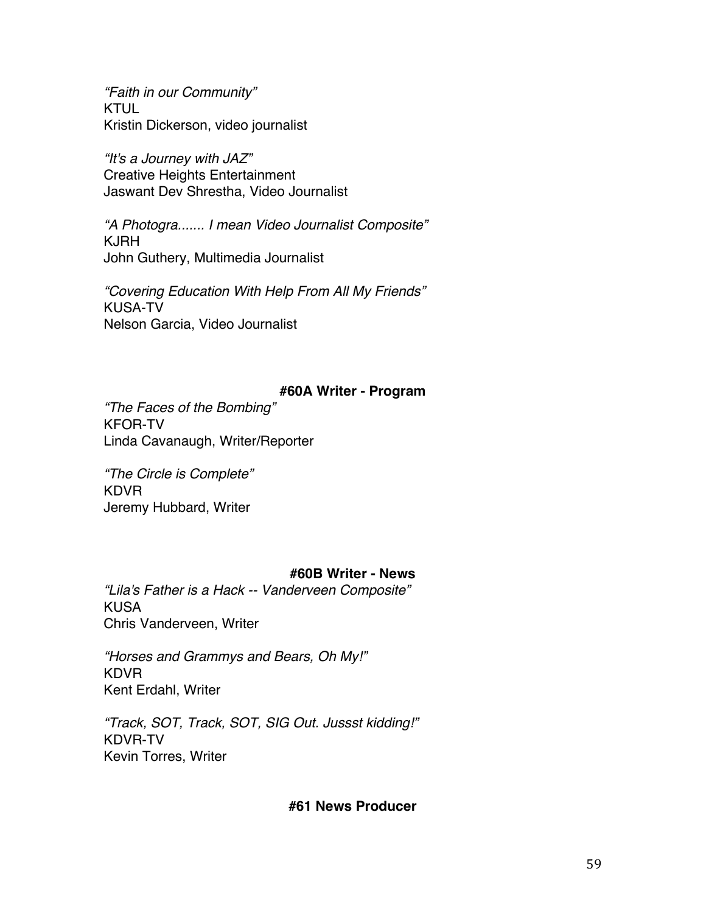*"Faith in our Community"* KTUL Kristin Dickerson, video journalist

*"It's a Journey with JAZ"* Creative Heights Entertainment Jaswant Dev Shrestha, Video Journalist

*"A Photogra....... I mean Video Journalist Composite"* KJRH John Guthery, Multimedia Journalist

*"Covering Education With Help From All My Friends"* KUSA-TV Nelson Garcia, Video Journalist

# **#60A Writer - Program**

*"The Faces of the Bombing"* KFOR-TV Linda Cavanaugh, Writer/Reporter

*"The Circle is Complete"* KDVR Jeremy Hubbard, Writer

# **#60B Writer - News**

*"Lila's Father is a Hack -- Vanderveen Composite"* KUSA Chris Vanderveen, Writer

*"Horses and Grammys and Bears, Oh My!"* KDVR Kent Erdahl, Writer

*"Track, SOT, Track, SOT, SIG Out. Jussst kidding!"* KDVR-TV Kevin Torres, Writer

# **#61 News Producer**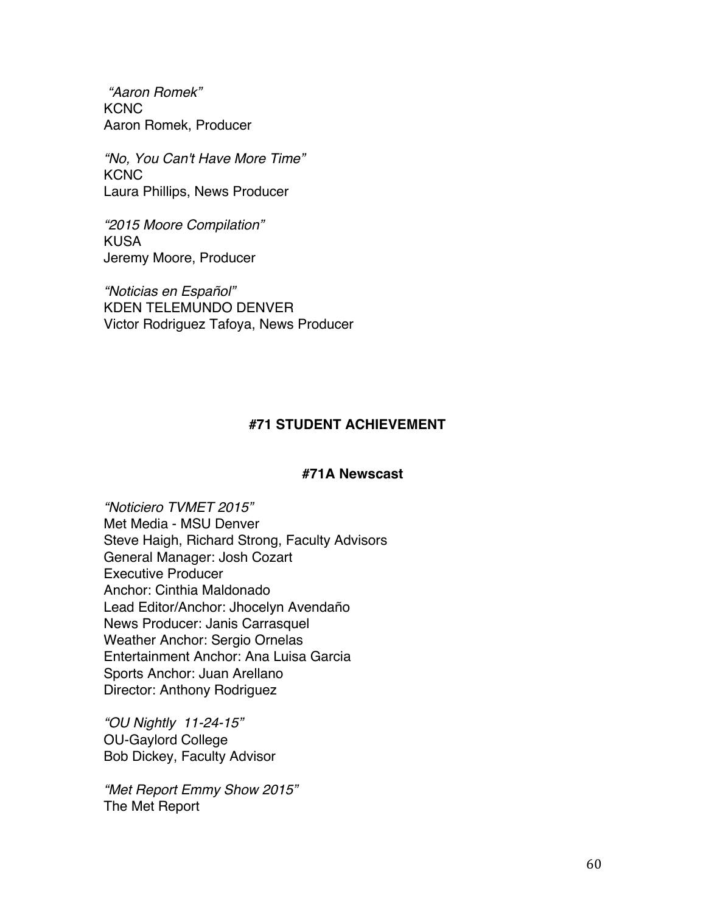*"Aaron Romek"* **KCNC** Aaron Romek, Producer

*"No, You Can't Have More Time"* **KCNC** Laura Phillips, News Producer

*"2015 Moore Compilation"* KUSA Jeremy Moore, Producer

*"Noticias en Español"* KDEN TELEMUNDO DENVER Victor Rodriguez Tafoya, News Producer

# **#71 STUDENT ACHIEVEMENT**

## **#71A Newscast**

*"Noticiero TVMET 2015"* Met Media - MSU Denver Steve Haigh, Richard Strong, Faculty Advisors General Manager: Josh Cozart Executive Producer Anchor: Cinthia Maldonado Lead Editor/Anchor: Jhocelyn Avendaño News Producer: Janis Carrasquel Weather Anchor: Sergio Ornelas Entertainment Anchor: Ana Luisa Garcia Sports Anchor: Juan Arellano Director: Anthony Rodriguez

*"OU Nightly 11-24-15"* OU-Gaylord College Bob Dickey, Faculty Advisor

*"Met Report Emmy Show 2015"* The Met Report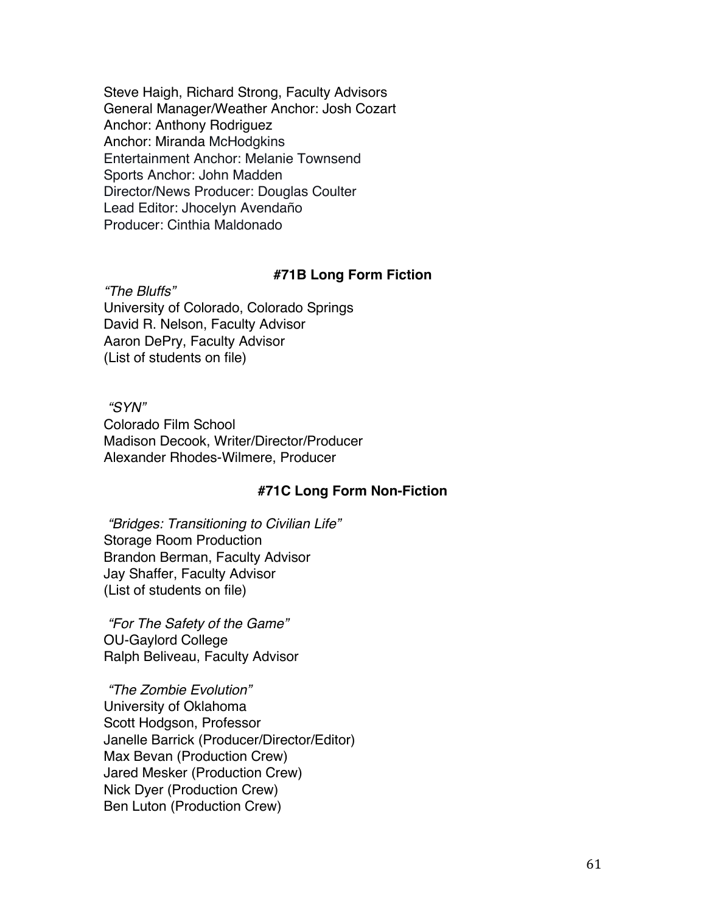Steve Haigh, Richard Strong, Faculty Advisors General Manager/Weather Anchor: Josh Cozart Anchor: Anthony Rodriguez Anchor: Miranda McHodgkins Entertainment Anchor: Melanie Townsend Sports Anchor: John Madden Director/News Producer: Douglas Coulter Lead Editor: Jhocelyn Avendaño Producer: Cinthia Maldonado

## **#71B Long Form Fiction**

*"The Bluffs"* University of Colorado, Colorado Springs David R. Nelson, Faculty Advisor Aaron DePry, Faculty Advisor (List of students on file)

*"SYN"* Colorado Film School Madison Decook, Writer/Director/Producer Alexander Rhodes-Wilmere, Producer

## **#71C Long Form Non-Fiction**

*"Bridges: Transitioning to Civilian Life"* Storage Room Production Brandon Berman, Faculty Advisor Jay Shaffer, Faculty Advisor (List of students on file)

*"For The Safety of the Game"* OU-Gaylord College Ralph Beliveau, Faculty Advisor

*"The Zombie Evolution"* University of Oklahoma Scott Hodgson, Professor Janelle Barrick (Producer/Director/Editor) Max Bevan (Production Crew) Jared Mesker (Production Crew) Nick Dyer (Production Crew) Ben Luton (Production Crew)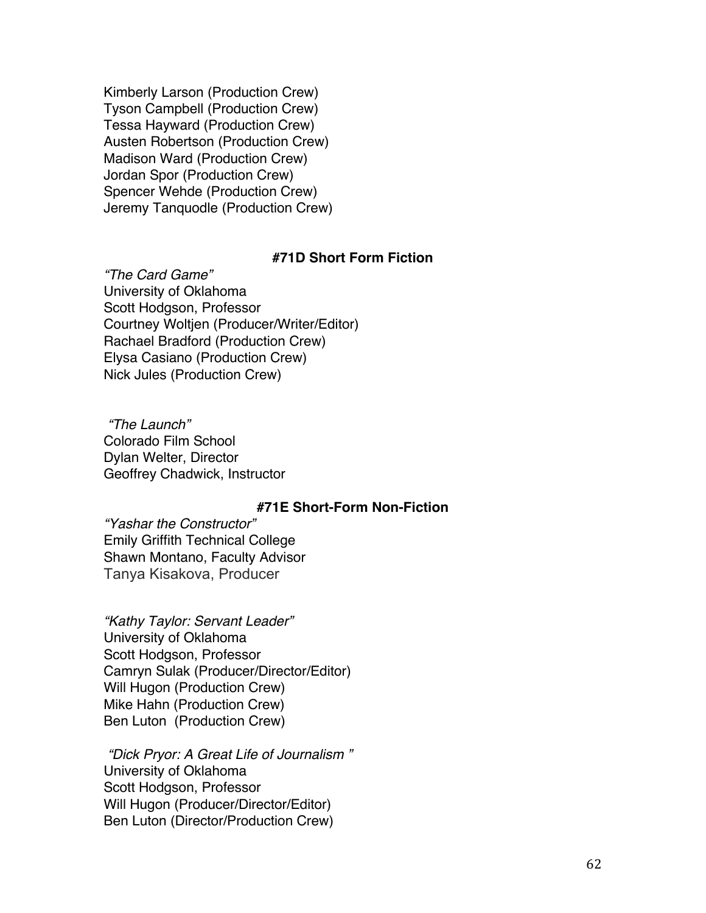Kimberly Larson (Production Crew) Tyson Campbell (Production Crew) Tessa Hayward (Production Crew) Austen Robertson (Production Crew) Madison Ward (Production Crew) Jordan Spor (Production Crew) Spencer Wehde (Production Crew) Jeremy Tanquodle (Production Crew)

## **#71D Short Form Fiction**

*"The Card Game"* University of Oklahoma Scott Hodgson, Professor Courtney Woltjen (Producer/Writer/Editor) Rachael Bradford (Production Crew) Elysa Casiano (Production Crew) Nick Jules (Production Crew)

*"The Launch"* Colorado Film School Dylan Welter, Director Geoffrey Chadwick, Instructor

## **#71E Short-Form Non-Fiction**

*"Yashar the Constructor"* Emily Griffith Technical College Shawn Montano, Faculty Advisor Tanya Kisakova, Producer

*"Kathy Taylor: Servant Leader"* University of Oklahoma Scott Hodgson, Professor Camryn Sulak (Producer/Director/Editor) Will Hugon (Production Crew) Mike Hahn (Production Crew) Ben Luton (Production Crew)

*"Dick Pryor: A Great Life of Journalism "* University of Oklahoma Scott Hodgson, Professor Will Hugon (Producer/Director/Editor) Ben Luton (Director/Production Crew)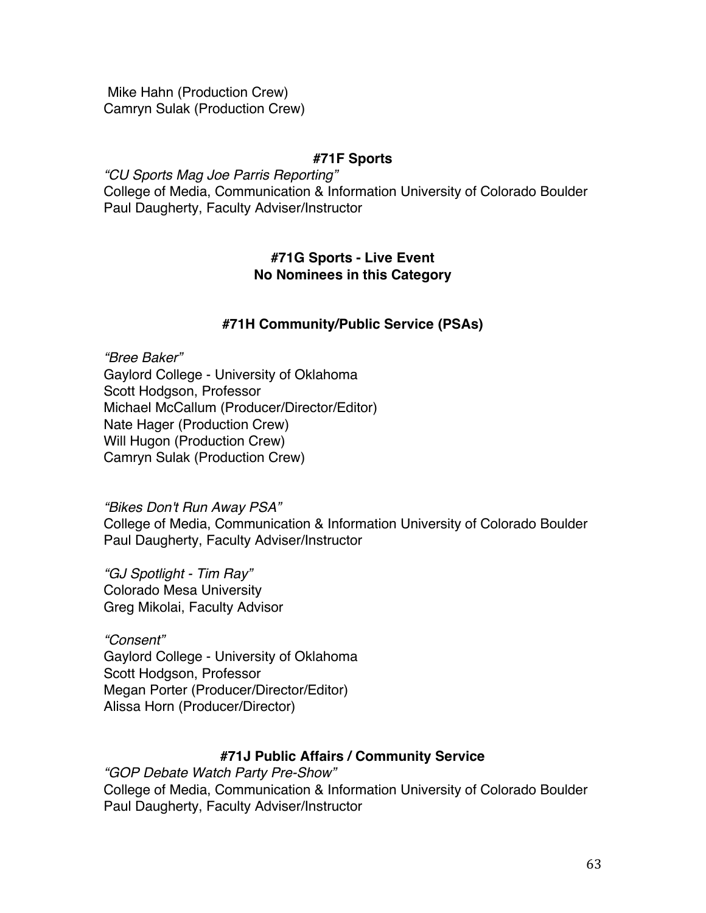Mike Hahn (Production Crew) Camryn Sulak (Production Crew)

# **#71F Sports**

*"CU Sports Mag Joe Parris Reporting"* College of Media, Communication & Information University of Colorado Boulder Paul Daugherty, Faculty Adviser/Instructor

# **#71G Sports - Live Event No Nominees in this Category**

# **#71H Community/Public Service (PSAs)**

*"Bree Baker"* Gaylord College - University of Oklahoma Scott Hodgson, Professor Michael McCallum (Producer/Director/Editor) Nate Hager (Production Crew) Will Hugon (Production Crew) Camryn Sulak (Production Crew)

*"Bikes Don't Run Away PSA"* College of Media, Communication & Information University of Colorado Boulder Paul Daugherty, Faculty Adviser/Instructor

*"GJ Spotlight - Tim Ray"* Colorado Mesa University Greg Mikolai, Faculty Advisor

*"Consent"* Gaylord College - University of Oklahoma Scott Hodgson, Professor Megan Porter (Producer/Director/Editor) Alissa Horn (Producer/Director)

# **#71J Public Affairs / Community Service**

*"GOP Debate Watch Party Pre-Show"* College of Media, Communication & Information University of Colorado Boulder Paul Daugherty, Faculty Adviser/Instructor